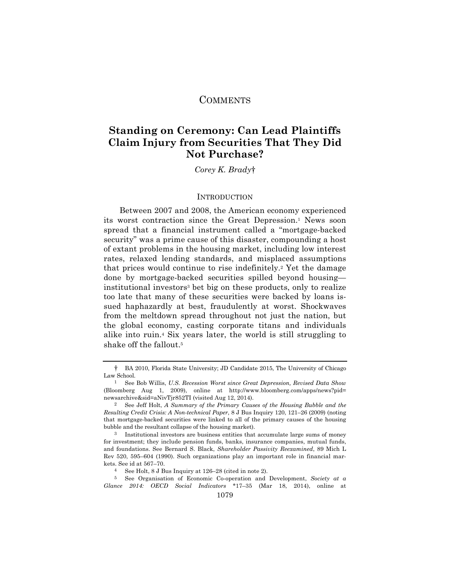# **COMMENTS**

# **Standing on Ceremony: Can Lead Plaintiffs Claim Injury from Securities That They Did Not Purchase?**

*Corey K. Brady*†

## **INTRODUCTION**

Between 2007 and 2008, the American economy experienced its worst contraction since the Great Depression.1 News soon spread that a financial instrument called a "mortgage-backed security" was a prime cause of this disaster, compounding a host of extant problems in the housing market, including low interest rates, relaxed lending standards, and misplaced assumptions that prices would continue to rise indefinitely.2 Yet the damage done by mortgage-backed securities spilled beyond housing institutional investors3 bet big on these products, only to realize too late that many of these securities were backed by loans issued haphazardly at best, fraudulently at worst. Shockwaves from the meltdown spread throughout not just the nation, but the global economy, casting corporate titans and individuals alike into ruin.4 Six years later, the world is still struggling to shake off the fallout.5

<sup>†</sup> BA 2010, Florida State University; JD Candidate 2015, The University of Chicago Law School.

<sup>1</sup> See Bob Willis, *U.S. Recession Worst since Great Depression, Revised Data Show* (Bloomberg Aug 1, 2009), online at http://www.bloomberg.com/apps/news?pid= newsarchive&sid=aNivTjr852TI (visited Aug 12, 2014).

<sup>2</sup> See Jeff Holt, *A Summary of the Primary Causes of the Housing Bubble and the Resulting Credit Crisis: A Non-technical Paper*, 8 J Bus Inquiry 120, 121–26 (2009) (noting that mortgage-backed securities were linked to all of the primary causes of the housing bubble and the resultant collapse of the housing market).

<sup>3</sup> Institutional investors are business entities that accumulate large sums of money for investment; they include pension funds, banks, insurance companies, mutual funds, and foundations. See Bernard S. Black, *Shareholder Passivity Reexamined*, 89 Mich L Rev 520, 595–604 (1990). Such organizations play an important role in financial markets. See id at 567–70.

<sup>4</sup> See Holt, 8 J Bus Inquiry at 126–28 (cited in note 2).

<sup>5</sup> See Organisation of Economic Co-operation and Development, *Society at a Glance 2014: OECD Social Indicators* \*17–35 (Mar 18, 2014), online at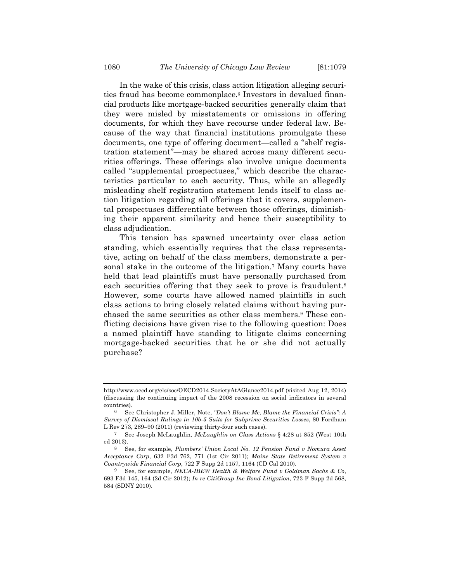In the wake of this crisis, class action litigation alleging securities fraud has become commonplace.6 Investors in devalued financial products like mortgage-backed securities generally claim that they were misled by misstatements or omissions in offering documents, for which they have recourse under federal law. Because of the way that financial institutions promulgate these documents, one type of offering document—called a "shelf registration statement"—may be shared across many different securities offerings. These offerings also involve unique documents called "supplemental prospectuses," which describe the characteristics particular to each security. Thus, while an allegedly misleading shelf registration statement lends itself to class action litigation regarding all offerings that it covers, supplemental prospectuses differentiate between those offerings, diminishing their apparent similarity and hence their susceptibility to class adjudication.

This tension has spawned uncertainty over class action standing, which essentially requires that the class representative, acting on behalf of the class members, demonstrate a personal stake in the outcome of the litigation.7 Many courts have held that lead plaintiffs must have personally purchased from each securities offering that they seek to prove is fraudulent.<sup>8</sup> However, some courts have allowed named plaintiffs in such class actions to bring closely related claims without having purchased the same securities as other class members.9 These conflicting decisions have given rise to the following question: Does a named plaintiff have standing to litigate claims concerning mortgage-backed securities that he or she did not actually purchase?

http://www.oecd.org/els/soc/OECD2014-SocietyAtAGlance2014.pdf (visited Aug 12, 2014) (discussing the continuing impact of the 2008 recession on social indicators in several countries).

<sup>6</sup> See Christopher J. Miller, Note, *"Don't Blame Me, Blame the Financial Crisis": A Survey of Dismissal Rulings in 10b-5 Suits for Subprime Securities Losses*, 80 Fordham L Rev 273, 289–90 (2011) (reviewing thirty-four such cases).

<sup>7</sup> See Joseph McLaughlin, *McLaughlin on Class Actions* § 4:28 at 852 (West 10th ed 2013).

<sup>8</sup> See, for example, *Plumbers' Union Local No. 12 Pension Fund v Nomura Asset Acceptance Corp*, 632 F3d 762, 771 (1st Cir 2011); *Maine State Retirement System v Countrywide Financial Corp*, 722 F Supp 2d 1157, 1164 (CD Cal 2010).

<sup>9</sup> See, for example, *NECA-IBEW Health & Welfare Fund v Goldman Sachs & Co*, 693 F3d 145, 164 (2d Cir 2012); *In re CitiGroup Inc Bond Litigation*, 723 F Supp 2d 568, 584 (SDNY 2010).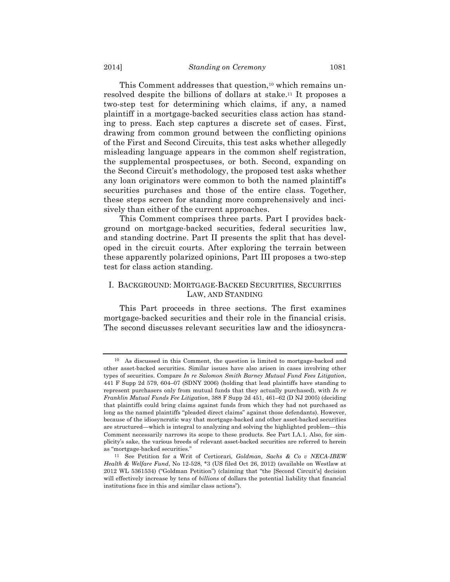This Comment addresses that question,<sup>10</sup> which remains unresolved despite the billions of dollars at stake.11 It proposes a two-step test for determining which claims, if any, a named plaintiff in a mortgage-backed securities class action has standing to press. Each step captures a discrete set of cases. First, drawing from common ground between the conflicting opinions of the First and Second Circuits, this test asks whether allegedly misleading language appears in the common shelf registration, the supplemental prospectuses, or both. Second, expanding on the Second Circuit's methodology, the proposed test asks whether any loan originators were common to both the named plaintiff's securities purchases and those of the entire class. Together, these steps screen for standing more comprehensively and incisively than either of the current approaches.

This Comment comprises three parts. Part I provides background on mortgage-backed securities, federal securities law, and standing doctrine. Part II presents the split that has developed in the circuit courts. After exploring the terrain between these apparently polarized opinions, Part III proposes a two-step test for class action standing.

# I. BACKGROUND: MORTGAGE-BACKED SECURITIES, SECURITIES LAW, AND STANDING

This Part proceeds in three sections. The first examines mortgage-backed securities and their role in the financial crisis. The second discusses relevant securities law and the idiosyncra-

<sup>10</sup> As discussed in this Comment, the question is limited to mortgage-backed and other asset-backed securities. Similar issues have also arisen in cases involving other types of securities. Compare *In re Salomon Smith Barney Mutual Fund Fees Litigation*, 441 F Supp 2d 579, 604–07 (SDNY 2006) (holding that lead plaintiffs have standing to represent purchasers only from mutual funds that they actually purchased), with *In re Franklin Mutual Funds Fee Litigation*, 388 F Supp 2d 451, 461–62 (D NJ 2005) (deciding that plaintiffs could bring claims against funds from which they had not purchased as long as the named plaintiffs "pleaded direct claims" against those defendants). However, because of the idiosyncratic way that mortgage-backed and other asset-backed securities are structured—which is integral to analyzing and solving the highlighted problem—this Comment necessarily narrows its scope to these products. See Part I.A.1. Also, for simplicity's sake, the various breeds of relevant asset-backed securities are referred to herein as "mortgage-backed securities."

<sup>11</sup> See Petition for a Writ of Certiorari, *Goldman, Sachs & Co v NECA-IBEW Health & Welfare Fund*, No 12-528, \*3 (US filed Oct 26, 2012) (available on Westlaw at 2012 WL 5361534) ("Goldman Petition") (claiming that "the [Second Circuit's] decision will effectively increase by tens of *billions* of dollars the potential liability that financial institutions face in this and similar class actions").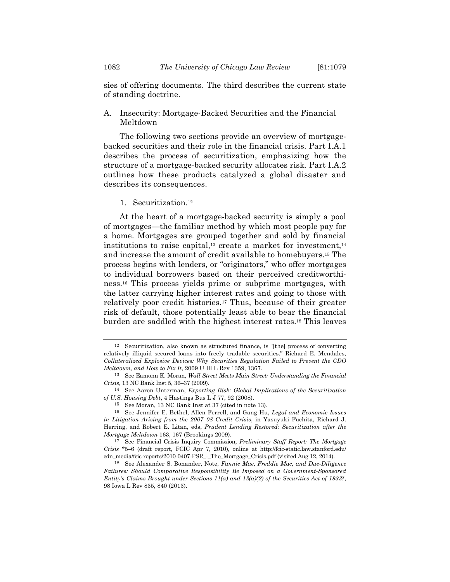A. Insecurity: Mortgage-Backed Securities and the Financial Meltdown

The following two sections provide an overview of mortgagebacked securities and their role in the financial crisis. Part I.A.1 describes the process of securitization, emphasizing how the structure of a mortgage-backed security allocates risk. Part I.A.2 outlines how these products catalyzed a global disaster and describes its consequences.

1. Securitization.12

At the heart of a mortgage-backed security is simply a pool of mortgages—the familiar method by which most people pay for a home. Mortgages are grouped together and sold by financial institutions to raise capital,<sup>13</sup> create a market for investment,<sup>14</sup> and increase the amount of credit available to homebuyers.15 The process begins with lenders, or "originators," who offer mortgages to individual borrowers based on their perceived creditworthiness.16 This process yields prime or subprime mortgages, with the latter carrying higher interest rates and going to those with relatively poor credit histories.17 Thus, because of their greater risk of default, those potentially least able to bear the financial burden are saddled with the highest interest rates.18 This leaves

<sup>12</sup> Securitization, also known as structured finance, is "[the] process of converting relatively illiquid secured loans into freely tradable securities." Richard E. Mendales, *Collateralized Explosive Devices: Why Securities Regulation Failed to Prevent the CDO Meltdown, and How to Fix It*, 2009 U Ill L Rev 1359, 1367.

<sup>13</sup> See Eamonn K. Moran, *Wall Street Meets Main Street: Understanding the Financial Crisis*, 13 NC Bank Inst 5, 36–37 (2009).

<sup>14</sup> See Aaron Unterman, *Exporting Risk: Global Implications of the Securitization of U.S. Housing Debt*, 4 Hastings Bus L J 77, 92 (2008).

<sup>15</sup> See Moran, 13 NC Bank Inst at 37 (cited in note 13).

<sup>16</sup> See Jennifer E. Bethel, Allen Ferrell, and Gang Hu, *Legal and Economic Issues in Litigation Arising from the 2007–08 Credit Crisis*, in Yasuyuki Fuchita, Richard J. Herring, and Robert E. Litan, eds, *Prudent Lending Restored: Securitization after the Mortgage Meltdown* 163, 167 (Brookings 2009).

<sup>17</sup> See Financial Crisis Inquiry Commission, *Preliminary Staff Report: The Mortgage Crisis* \*5–6 (draft report, FCIC Apr 7, 2010), online at http://fcic-static.law.stanford.edu/ cdn\_media/fcic-reports/2010-0407-PSR\_-\_The\_Mortgage\_Crisis.pdf (visited Aug 12, 2014).

<sup>18</sup> See Alexander S. Bonander, Note, *Fannie Mae, Freddie Mac, and Due-Diligence Failures: Should Comparative Responsibility Be Imposed on a Government-Sponsored Entity's Claims Brought under Sections 11(a) and 12(a)(2) of the Securities Act of 1933?*, 98 Iowa L Rev 835, 840 (2013).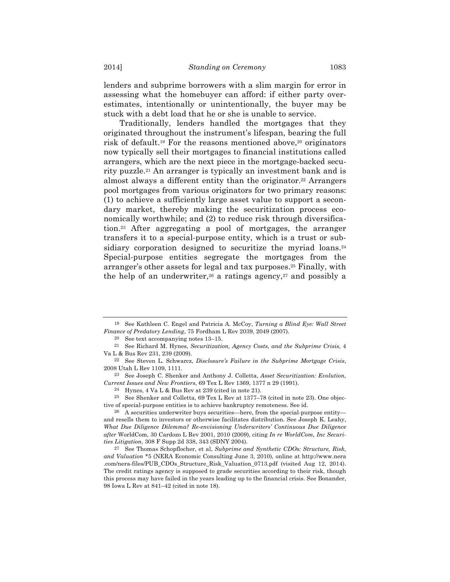lenders and subprime borrowers with a slim margin for error in assessing what the homebuyer can afford: if either party overestimates, intentionally or unintentionally, the buyer may be stuck with a debt load that he or she is unable to service.

Traditionally, lenders handled the mortgages that they originated throughout the instrument's lifespan, bearing the full risk of default.19 For the reasons mentioned above,20 originators now typically sell their mortgages to financial institutions called arrangers, which are the next piece in the mortgage-backed security puzzle.21 An arranger is typically an investment bank and is almost always a different entity than the originator.22 Arrangers pool mortgages from various originators for two primary reasons: (1) to achieve a sufficiently large asset value to support a secondary market, thereby making the securitization process economically worthwhile; and (2) to reduce risk through diversification.23 After aggregating a pool of mortgages, the arranger transfers it to a special-purpose entity, which is a trust or subsidiary corporation designed to securitize the myriad loans.<sup>24</sup> Special-purpose entities segregate the mortgages from the arranger's other assets for legal and tax purposes.25 Finally, with the help of an underwriter,<sup>26</sup> a ratings agency,<sup>27</sup> and possibly a

25 See Shenker and Colletta, 69 Tex L Rev at 1377–78 (cited in note 23). One objective of special-purpose entities is to achieve bankruptcy remoteness. See id.

<sup>19</sup> See Kathleen C. Engel and Patricia A. McCoy, *Turning a Blind Eye: Wall Street Finance of Predatory Lending*, 75 Fordham L Rev 2039, 2049 (2007).

<sup>20</sup> See text accompanying notes 13–15.

<sup>21</sup> See Richard M. Hynes, *Securitization, Agency Costs, and the Subprime Crisis*, 4 Va L & Bus Rev 231, 239 (2009).

<sup>22</sup> See Steven L. Schwarcz, *Disclosure's Failure in the Subprime Mortgage Crisis*, 2008 Utah L Rev 1109, 1111.

<sup>23</sup> See Joseph C. Shenker and Anthony J. Colletta, *Asset Securitization: Evolution, Current Issues and New Frontiers*, 69 Tex L Rev 1369, 1377 n 29 (1991).

<sup>24</sup> Hynes, 4 Va L & Bus Rev at 239 (cited in note 21).

<sup>26</sup> A securities underwriter buys securities—here, from the special-purpose entity and resells them to investors or otherwise facilitates distribution. See Joseph K. Leahy, *What Due Diligence Dilemma? Re-envisioning Underwriters' Continuous Due Diligence after* WorldCom, 30 Cardozo L Rev 2001, 2010 (2009), citing *In re WorldCom, Inc Securities Litigation*, 308 F Supp 2d 338, 343 (SDNY 2004).

<sup>27</sup> See Thomas Schopflocher, et al, *Subprime and Synthetic CDOs: Structure, Risk, and Valuation* \*5 (NERA Economic Consulting June 3, 2010), online at http://www.nera .com/nera-files/PUB\_CDOs\_Structure\_Risk\_Valuation\_0713.pdf (visited Aug 12, 2014). The credit ratings agency is supposed to grade securities according to their risk, though this process may have failed in the years leading up to the financial crisis. See Bonander, 98 Iowa L Rev at 841–42 (cited in note 18).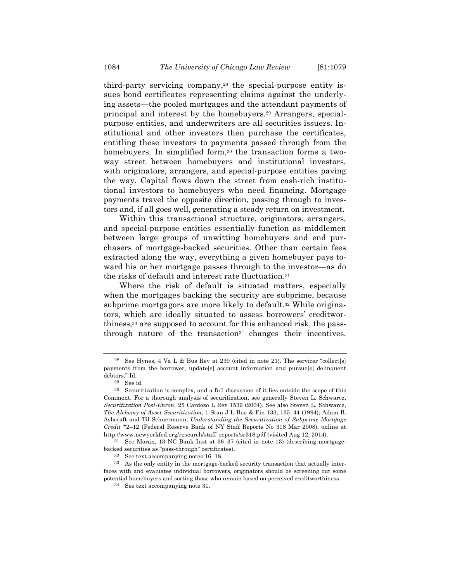third-party servicing company,28 the special-purpose entity issues bond certificates representing claims against the underlying assets—the pooled mortgages and the attendant payments of principal and interest by the homebuyers.29 Arrangers, specialpurpose entities, and underwriters are all securities issuers. Institutional and other investors then purchase the certificates, entitling these investors to payments passed through from the homebuyers. In simplified form,<sup>30</sup> the transaction forms a twoway street between homebuyers and institutional investors, with originators, arrangers, and special-purpose entities paving the way. Capital flows down the street from cash-rich institutional investors to homebuyers who need financing. Mortgage payments travel the opposite direction, passing through to investors and, if all goes well, generating a steady return on investment.

Within this transactional structure, originators, arrangers, and special-purpose entities essentially function as middlemen between large groups of unwitting homebuyers and end purchasers of mortgage-backed securities. Other than certain fees extracted along the way, everything a given homebuyer pays toward his or her mortgage passes through to the investor—as do the risks of default and interest rate fluctuation.31

Where the risk of default is situated matters, especially when the mortgages backing the security are subprime, because subprime mortgagors are more likely to default.<sup>32</sup> While originators, which are ideally situated to assess borrowers' creditworthiness,33 are supposed to account for this enhanced risk, the passthrough nature of the transaction<sup>34</sup> changes their incentives.

See Hynes, 4 Va L & Bus Rev at  $239$  (cited in note 21). The servicer "collect[s] payments from the borrower, update[s] account information and pursue[s] delinquent debtors." Id.

<sup>29</sup> See id.

<sup>30</sup> Securitization is complex, and a full discussion of it lies outside the scope of this Comment. For a thorough analysis of securitization, see generally Steven L. Schwarcz, *Securitization Post-Enron*, 25 Cardozo L Rev 1539 (2004). See also Steven L. Schwarcz, *The Alchemy of Asset Securitization*, 1 Stan J L Bus & Fin 133, 135–44 (1994); Adam B. Ashcraft and Til Schuermann, *Understanding the Securitization of Subprime Mortgage Credit* \*2–12 (Federal Reserve Bank of NY Staff Reports No 318 Mar 2008), online at http://www.newyorkfed.org/research/staff\_reports/sr318.pdf (visited Aug 12, 2014).

<sup>31</sup> See Moran, 13 NC Bank Inst at 36–37 (cited in note 13) (describing mortgagebacked securities as "pass-through" certificates).

<sup>32</sup> See text accompanying notes 16–18.

<sup>33</sup> As the only entity in the mortgage-backed security transaction that actually interfaces with and evaluates individual borrowers, originators should be screening out some potential homebuyers and sorting those who remain based on perceived creditworthiness.

<sup>34</sup> See text accompanying note 31.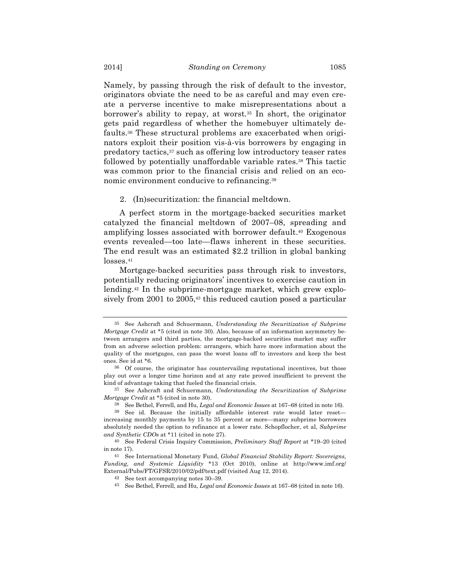Namely, by passing through the risk of default to the investor, originators obviate the need to be as careful and may even create a perverse incentive to make misrepresentations about a borrower's ability to repay, at worst.35 In short, the originator gets paid regardless of whether the homebuyer ultimately defaults.36 These structural problems are exacerbated when originators exploit their position vis-à-vis borrowers by engaging in predatory tactics,37 such as offering low introductory teaser rates followed by potentially unaffordable variable rates.<sup>38</sup> This tactic was common prior to the financial crisis and relied on an economic environment conducive to refinancing.39

#### 2. (In)securitization: the financial meltdown.

A perfect storm in the mortgage-backed securities market catalyzed the financial meltdown of 2007–08, spreading and amplifying losses associated with borrower default.40 Exogenous events revealed—too late—flaws inherent in these securities. The end result was an estimated \$2.2 trillion in global banking losses.41

Mortgage-backed securities pass through risk to investors, potentially reducing originators' incentives to exercise caution in lending.42 In the subprime-mortgage market, which grew explosively from 2001 to 2005,<sup>43</sup> this reduced caution posed a particular

<sup>35</sup> See Ashcraft and Schuermann, *Understanding the Securitization of Subprime Mortgage Credit* at \*5 (cited in note 30). Also, because of an information asymmetry between arrangers and third parties, the mortgage-backed securities market may suffer from an adverse selection problem: arrangers, which have more information about the quality of the mortgages, can pass the worst loans off to investors and keep the best ones. See id at \*6.

<sup>36</sup> Of course, the originator has countervailing reputational incentives, but those play out over a longer time horizon and at any rate proved insufficient to prevent the kind of advantage taking that fueled the financial crisis.

<sup>37</sup> See Ashcraft and Schuermann, *Understanding the Securitization of Subprime Mortgage Credit* at \*5 (cited in note 30).

<sup>38</sup> See Bethel, Ferrell, and Hu, *Legal and Economic Issues* at 167–68 (cited in note 16).

<sup>39</sup> See id. Because the initially affordable interest rate would later reset increasing monthly payments by 15 to 35 percent or more—many subprime borrowers absolutely needed the option to refinance at a lower rate. Schopflocher, et al, *Subprime and Synthetic CDOs* at \*11 (cited in note 27).

<sup>40</sup> See Federal Crisis Inquiry Commission, *Preliminary Staff Report* at \*19–20 (cited in note 17).

<sup>41</sup> See International Monetary Fund, *Global Financial Stability Report: Sovereigns, Funding, and Systemic Liquidity* \*13 (Oct 2010), online at http://www.imf.org/ External/Pubs/FT/GFSR/2010/02/pdf/text.pdf (visited Aug 12, 2014).

<sup>42</sup> See text accompanying notes 30–39.

<sup>43</sup> See Bethel, Ferrell, and Hu, *Legal and Economic Issues* at 167–68 (cited in note 16).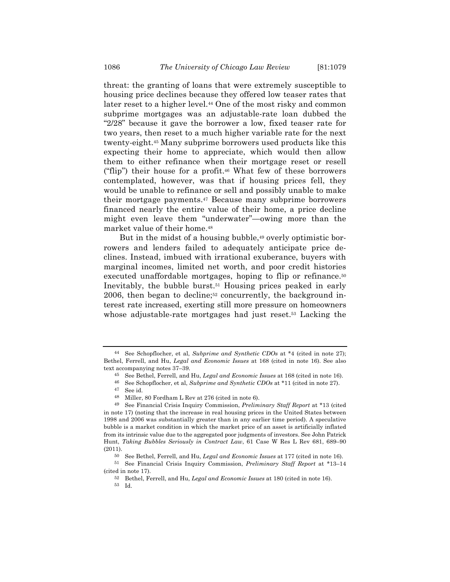threat: the granting of loans that were extremely susceptible to housing price declines because they offered low teaser rates that later reset to a higher level.44 One of the most risky and common subprime mortgages was an adjustable-rate loan dubbed the "2/28" because it gave the borrower a low, fixed teaser rate for two years, then reset to a much higher variable rate for the next twenty-eight.45 Many subprime borrowers used products like this expecting their home to appreciate, which would then allow them to either refinance when their mortgage reset or resell ("flip") their house for a profit.46 What few of these borrowers contemplated, however, was that if housing prices fell, they would be unable to refinance or sell and possibly unable to make their mortgage payments.47 Because many subprime borrowers financed nearly the entire value of their home, a price decline might even leave them "underwater"—owing more than the market value of their home.48

But in the midst of a housing bubble,<sup>49</sup> overly optimistic borrowers and lenders failed to adequately anticipate price declines. Instead, imbued with irrational exuberance, buyers with marginal incomes, limited net worth, and poor credit histories executed unaffordable mortgages, hoping to flip or refinance.<sup>50</sup> Inevitably, the bubble burst.51 Housing prices peaked in early 2006, then began to decline;52 concurrently, the background interest rate increased, exerting still more pressure on homeowners whose adjustable-rate mortgages had just reset.<sup>53</sup> Lacking the

46 See Schopflocher, et al, *Subprime and Synthetic CDOs* at \*11 (cited in note 27).

48 Miller, 80 Fordham L Rev at 276 (cited in note 6).

<sup>44</sup> See Schopflocher, et al, *Subprime and Synthetic CDOs* at \*4 (cited in note 27); Bethel, Ferrell, and Hu, *Legal and Economic Issues* at 168 (cited in note 16). See also text accompanying notes 37–39.

<sup>45</sup> See Bethel, Ferrell, and Hu, *Legal and Economic Issues* at 168 (cited in note 16).

<sup>47</sup> See id.

<sup>49</sup> See Financial Crisis Inquiry Commission, *Preliminary Staff Report* at \*13 (cited in note 17) (noting that the increase in real housing prices in the United States between 1998 and 2006 was substantially greater than in any earlier time period). A speculative bubble is a market condition in which the market price of an asset is artificially inflated from its intrinsic value due to the aggregated poor judgments of investors. See John Patrick Hunt, *Taking Bubbles Seriously in Contract Law*, 61 Case W Res L Rev 681, 689–90 (2011).

<sup>50</sup> See Bethel, Ferrell, and Hu, *Legal and Economic Issues* at 177 (cited in note 16).

<sup>51</sup> See Financial Crisis Inquiry Commission, *Preliminary Staff Report* at \*13–14 (cited in note 17).

<sup>52</sup> Bethel, Ferrell, and Hu, *Legal and Economic Issues* at 180 (cited in note 16).

<sup>53</sup> Id.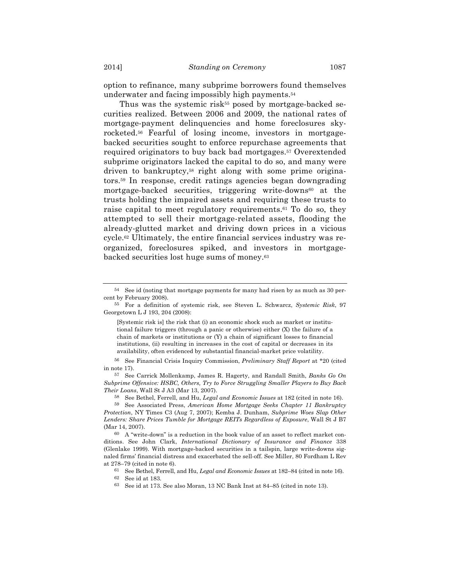option to refinance, many subprime borrowers found themselves underwater and facing impossibly high payments.54

Thus was the systemic risk<sup> $55$ </sup> posed by mortgage-backed securities realized. Between 2006 and 2009, the national rates of mortgage-payment delinquencies and home foreclosures skyrocketed.56 Fearful of losing income, investors in mortgagebacked securities sought to enforce repurchase agreements that required originators to buy back bad mortgages.57 Overextended subprime originators lacked the capital to do so, and many were driven to bankruptcy,58 right along with some prime originators.59 In response, credit ratings agencies began downgrading mortgage-backed securities, triggering write-downs<sup>60</sup> at the trusts holding the impaired assets and requiring these trusts to raise capital to meet regulatory requirements.61 To do so, they attempted to sell their mortgage-related assets, flooding the already-glutted market and driving down prices in a vicious cycle.62 Ultimately, the entire financial services industry was reorganized, foreclosures spiked, and investors in mortgagebacked securities lost huge sums of money.63

[Systemic risk is] the risk that (i) an economic shock such as market or institutional failure triggers (through a panic or otherwise) either (X) the failure of a chain of markets or institutions or (Y) a chain of significant losses to financial institutions, (ii) resulting in increases in the cost of capital or decreases in its availability, often evidenced by substantial financial-market price volatility.

58 See Bethel, Ferrell, and Hu, *Legal and Economic Issues* at 182 (cited in note 16).

<sup>54</sup> See id (noting that mortgage payments for many had risen by as much as 30 percent by February 2008).

<sup>55</sup> For a definition of systemic risk, see Steven L. Schwarcz, *Systemic Risk*, 97 Georgetown L J 193, 204 (2008):

<sup>56</sup> See Financial Crisis Inquiry Commission, *Preliminary Staff Report* at \*20 (cited in note 17).

<sup>57</sup> See Carrick Mollenkamp, James R. Hagerty, and Randall Smith, *Banks Go On Subprime Offensive: HSBC, Others, Try to Force Struggling Smaller Players to Buy Back Their Loans*, Wall St J A3 (Mar 13, 2007).

<sup>59</sup> See Associated Press, *American Home Mortgage Seeks Chapter 11 Bankruptcy Protection*, NY Times C3 (Aug 7, 2007); Kemba J. Dunham, *Subprime Woes Slap Other Lenders: Share Prices Tumble for Mortgage REITs Regardless of Exposure*, Wall St J B7 (Mar 14, 2007).

 $60$  A "write-down" is a reduction in the book value of an asset to reflect market conditions. See John Clark, *International Dictionary of Insurance and Finance* 338 (Glenlake 1999). With mortgage-backed securities in a tailspin, large write-downs signaled firms' financial distress and exacerbated the sell-off. See Miller, 80 Fordham L Rev at 278–79 (cited in note 6).

<sup>61</sup> See Bethel, Ferrell, and Hu, *Legal and Economic Issues* at 182–84 (cited in note 16).

<sup>62</sup> See id at 183.

<sup>63</sup> See id at 173. See also Moran, 13 NC Bank Inst at 84–85 (cited in note 13).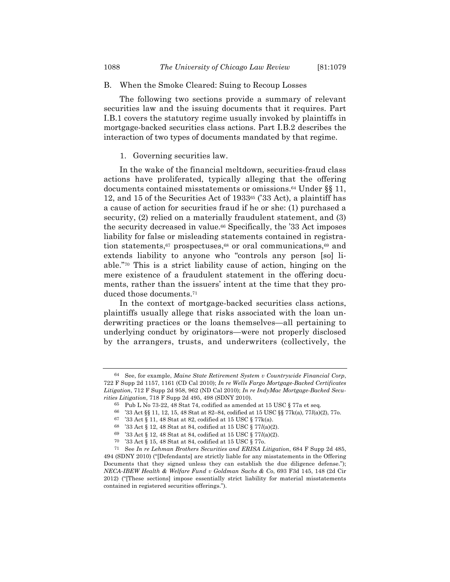### B. When the Smoke Cleared: Suing to Recoup Losses

The following two sections provide a summary of relevant securities law and the issuing documents that it requires. Part I.B.1 covers the statutory regime usually invoked by plaintiffs in mortgage-backed securities class actions. Part I.B.2 describes the interaction of two types of documents mandated by that regime.

#### 1. Governing securities law.

In the wake of the financial meltdown, securities-fraud class actions have proliferated, typically alleging that the offering documents contained misstatements or omissions.64 Under §§ 11, 12, and 15 of the Securities Act of 193365 ('33 Act), a plaintiff has a cause of action for securities fraud if he or she: (1) purchased a security, (2) relied on a materially fraudulent statement, and (3) the security decreased in value.66 Specifically, the '33 Act imposes liability for false or misleading statements contained in registration statements,<sup>67</sup> prospectuses,<sup>68</sup> or oral communications,<sup>69</sup> and extends liability to anyone who "controls any person [so] liable."70 This is a strict liability cause of action, hinging on the mere existence of a fraudulent statement in the offering documents, rather than the issuers' intent at the time that they produced those documents.71

In the context of mortgage-backed securities class actions, plaintiffs usually allege that risks associated with the loan underwriting practices or the loans themselves—all pertaining to underlying conduct by originators—were not properly disclosed by the arrangers, trusts, and underwriters (collectively, the

<sup>64</sup> See, for example, *Maine State Retirement System v Countrywide Financial Corp*, 722 F Supp 2d 1157, 1161 (CD Cal 2010); *In re Wells Fargo Mortgage-Backed Certificates Litigation*, 712 F Supp 2d 958, 962 (ND Cal 2010); *In re IndyMac Mortgage-Backed Securities Litigation*, 718 F Supp 2d 495, 498 (SDNY 2010).

<sup>&</sup>lt;sup>65</sup> Pub L No 73-22, 48 Stat 74, codified as amended at 15 USC  $\S$  77a et seq.

<sup>66</sup> '33 Act §§ 11, 12, 15, 48 Stat at 82–84, codified at 15 USC §§ 77k(a), 77*l*(a)(2), 77o.

<sup>67</sup> '33 Act § 11, 48 Stat at 82, codified at 15 USC § 77k(a).

<sup>68</sup> '33 Act § 12, 48 Stat at 84, codified at 15 USC § 77*l*(a)(2).

<sup>69</sup> '33 Act § 12, 48 Stat at 84, codified at 15 USC § 77*l*(a)(2).

<sup>70</sup> '33 Act § 15, 48 Stat at 84, codified at 15 USC § 77o.

<sup>71</sup> See *In re Lehman Brothers Securities and ERISA Litigation*, 684 F Supp 2d 485, 494 (SDNY 2010) ("[Defendants] are strictly liable for any misstatements in the Offering Documents that they signed unless they can establish the due diligence defense."); *NECA-IBEW Health & Welfare Fund v Goldman Sachs & Co*, 693 F3d 145, 148 (2d Cir 2012) ("[These sections] impose essentially strict liability for material misstatements contained in registered securities offerings.").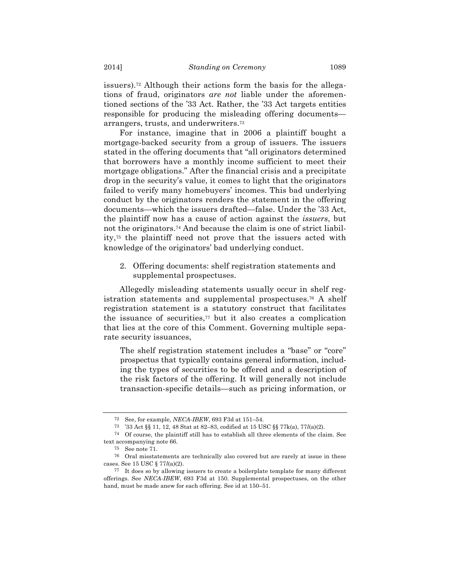issuers).72 Although their actions form the basis for the allegations of fraud, originators *are not* liable under the aforementioned sections of the '33 Act. Rather, the '33 Act targets entities responsible for producing the misleading offering documents arrangers, trusts, and underwriters.73

For instance, imagine that in 2006 a plaintiff bought a mortgage-backed security from a group of issuers. The issuers stated in the offering documents that "all originators determined that borrowers have a monthly income sufficient to meet their mortgage obligations." After the financial crisis and a precipitate drop in the security's value, it comes to light that the originators failed to verify many homebuyers' incomes. This bad underlying conduct by the originators renders the statement in the offering documents—which the issuers drafted—false. Under the '33 Act, the plaintiff now has a cause of action against the *issuers*, but not the originators.74 And because the claim is one of strict liability,75 the plaintiff need not prove that the issuers acted with knowledge of the originators' bad underlying conduct.

2. Offering documents: shelf registration statements and supplemental prospectuses.

Allegedly misleading statements usually occur in shelf registration statements and supplemental prospectuses.76 A shelf registration statement is a statutory construct that facilitates the issuance of securities, $77$  but it also creates a complication that lies at the core of this Comment. Governing multiple separate security issuances,

The shelf registration statement includes a "base" or "core" prospectus that typically contains general information, including the types of securities to be offered and a description of the risk factors of the offering. It will generally not include transaction-specific details—such as pricing information, or

<sup>72</sup> See, for example, *NECA-IBEW*, 693 F3d at 151–54.

<sup>73</sup> '33 Act §§ 11, 12, 48 Stat at 82–83, codified at 15 USC §§ 77k(a), 77*l*(a)(2).

<sup>74</sup> Of course, the plaintiff still has to establish all three elements of the claim. See text accompanying note 66.

<sup>75</sup> See note 71.

<sup>76</sup> Oral misstatements are technically also covered but are rarely at issue in these cases. See 15 USC § 77*l*(a)(2).

<sup>77</sup> It does so by allowing issuers to create a boilerplate template for many different offerings. See *NECA-IBEW*, 693 F3d at 150. Supplemental prospectuses, on the other hand, must be made anew for each offering. See id at 150–51.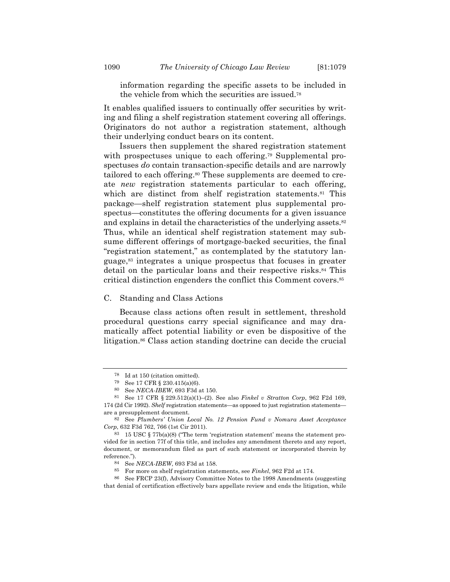information regarding the specific assets to be included in the vehicle from which the securities are issued.78

It enables qualified issuers to continually offer securities by writing and filing a shelf registration statement covering all offerings. Originators do not author a registration statement, although their underlying conduct bears on its content.

Issuers then supplement the shared registration statement with prospectuses unique to each offering.<sup>79</sup> Supplemental prospectuses *do* contain transaction-specific details and are narrowly tailored to each offering.<sup>80</sup> These supplements are deemed to create *new* registration statements particular to each offering, which are distinct from shelf registration statements.<sup>81</sup> This package—shelf registration statement plus supplemental prospectus—constitutes the offering documents for a given issuance and explains in detail the characteristics of the underlying assets.<sup>82</sup> Thus, while an identical shelf registration statement may subsume different offerings of mortgage-backed securities, the final "registration statement," as contemplated by the statutory language,83 integrates a unique prospectus that focuses in greater detail on the particular loans and their respective risks.84 This critical distinction engenders the conflict this Comment covers.85

# C. Standing and Class Actions

Because class actions often result in settlement, threshold procedural questions carry special significance and may dramatically affect potential liability or even be dispositive of the litigation.86 Class action standing doctrine can decide the crucial

<sup>78</sup> Id at 150 (citation omitted).

<sup>79</sup> See 17 CFR § 230.415(a)(6).

<sup>80</sup> See *NECA-IBEW*, 693 F3d at 150.

<sup>81</sup> See 17 CFR § 229.512(a)(1)–(2). See also *Finkel v Stratton Corp*, 962 F2d 169, 174 (2d Cir 1992). *Shelf* registration statements—as opposed to just registration statements—

are a presupplement document. 82 See *Plumbers' Union Local No. 12 Pension Fund v Nomura Asset Acceptance* 

*Corp*, 632 F3d 762, 766 (1st Cir 2011).

<sup>83 15</sup> USC  $\S 77b(a)(8)$  ("The term 'registration statement' means the statement provided for in section 77f of this title, and includes any amendment thereto and any report, document, or memorandum filed as part of such statement or incorporated therein by reference.").

<sup>84</sup> See *NECA-IBEW*, 693 F3d at 158.

<sup>85</sup> For more on shelf registration statements, see *Finkel*, 962 F2d at 174.

<sup>86</sup> See FRCP 23(f), Advisory Committee Notes to the 1998 Amendments (suggesting that denial of certification effectively bars appellate review and ends the litigation, while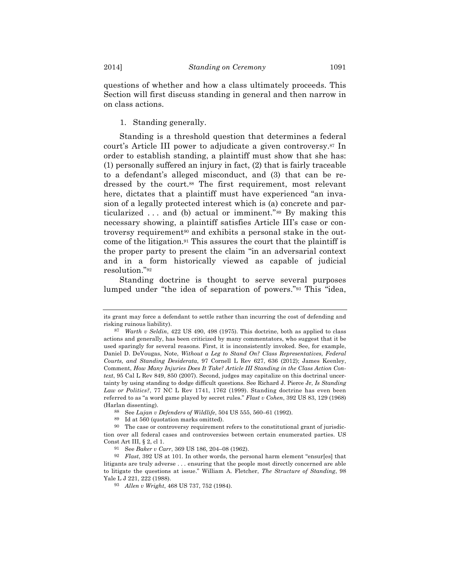questions of whether and how a class ultimately proceeds. This Section will first discuss standing in general and then narrow in on class actions.

1. Standing generally.

Standing is a threshold question that determines a federal court's Article III power to adjudicate a given controversy.87 In order to establish standing, a plaintiff must show that she has: (1) personally suffered an injury in fact, (2) that is fairly traceable to a defendant's alleged misconduct, and (3) that can be redressed by the court.88 The first requirement, most relevant here, dictates that a plaintiff must have experienced "an invasion of a legally protected interest which is (a) concrete and particularized . . . and (b) actual or imminent."89 By making this necessary showing, a plaintiff satisfies Article III's case or controversy requirement<sup>90</sup> and exhibits a personal stake in the outcome of the litigation.91 This assures the court that the plaintiff is the proper party to present the claim "in an adversarial context and in a form historically viewed as capable of judicial resolution."92

Standing doctrine is thought to serve several purposes lumped under "the idea of separation of powers."93 This "idea,

its grant may force a defendant to settle rather than incurring the cost of defending and risking ruinous liability).

<sup>87</sup> *Warth v Seldin*, 422 US 490, 498 (1975). This doctrine, both as applied to class actions and generally, has been criticized by many commentators, who suggest that it be used sparingly for several reasons. First, it is inconsistently invoked. See, for example, Daniel D. DeVougas, Note, *Without a Leg to Stand On? Class Representatives, Federal Courts, and Standing Desiderata*, 97 Cornell L Rev 627, 636 (2012); James Keenley, Comment, *How Many Injuries Does It Take? Article III Standing in the Class Action Context*, 95 Cal L Rev 849, 850 (2007). Second, judges may capitalize on this doctrinal uncertainty by using standing to dodge difficult questions. See Richard J. Pierce Jr, *Is Standing Law or Politics?*, 77 NC L Rev 1741, 1762 (1999). Standing doctrine has even been referred to as "a word game played by secret rules." *Flast v Cohen*, 392 US 83, 129 (1968) (Harlan dissenting).

<sup>88</sup> See *Lujan v Defenders of Wildlife*, 504 US 555, 560–61 (1992).

<sup>89</sup> Id at 560 (quotation marks omitted).

<sup>90</sup> The case or controversy requirement refers to the constitutional grant of jurisdiction over all federal cases and controversies between certain enumerated parties. US Const Art III, § 2, cl 1.

<sup>91</sup> See *Baker v Carr*, 369 US 186, 204–08 (1962).

<sup>92</sup> *Flast*, 392 US at 101. In other words, the personal harm element "ensur[es] that litigants are truly adverse . . . ensuring that the people most directly concerned are able to litigate the questions at issue." William A. Fletcher, *The Structure of Standing*, 98 Yale L J 221, 222 (1988).

<sup>93</sup> *Allen v Wright*, 468 US 737, 752 (1984).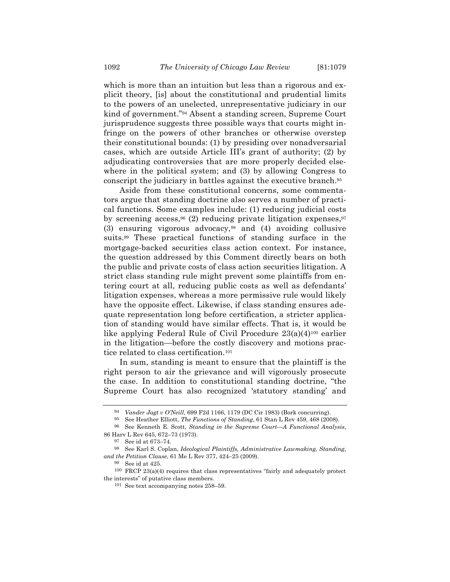which is more than an intuition but less than a rigorous and explicit theory, [is] about the constitutional and prudential limits to the powers of an unelected, unrepresentative judiciary in our kind of government."94 Absent a standing screen, Supreme Court jurisprudence suggests three possible ways that courts might infringe on the powers of other branches or otherwise overstep their constitutional bounds: (1) by presiding over nonadversarial cases, which are outside Article III's grant of authority; (2) by adjudicating controversies that are more properly decided elsewhere in the political system; and (3) by allowing Congress to conscript the judiciary in battles against the executive branch.95

Aside from these constitutional concerns, some commentators argue that standing doctrine also serves a number of practical functions. Some examples include: (1) reducing judicial costs by screening access,  $96$  (2) reducing private litigation expenses,  $97$ (3) ensuring vigorous advocacy,98 and (4) avoiding collusive suits.99 These practical functions of standing surface in the mortgage-backed securities class action context. For instance, the question addressed by this Comment directly bears on both the public and private costs of class action securities litigation. A strict class standing rule might prevent some plaintiffs from entering court at all, reducing public costs as well as defendants' litigation expenses, whereas a more permissive rule would likely have the opposite effect. Likewise, if class standing ensures adequate representation long before certification, a stricter application of standing would have similar effects. That is, it would be like applying Federal Rule of Civil Procedure 23(a)(4)100 earlier in the litigation—before the costly discovery and motions practice related to class certification.101

In sum, standing is meant to ensure that the plaintiff is the right person to air the grievance and will vigorously prosecute the case. In addition to constitutional standing doctrine, "the Supreme Court has also recognized 'statutory standing' and

<sup>94</sup> *Vander Jagt v O'Neill*, 699 F2d 1166, 1179 (DC Cir 1983) (Bork concurring).

<sup>95</sup> See Heather Elliott, *The Functions of Standing*, 61 Stan L Rev 459, 468 (2008).

<sup>96</sup> See Kenneth E. Scott, *Standing in the Supreme Court—A Functional Analysis*, 86 Harv L Rev 645, 672–73 (1973).

<sup>97</sup> See id at 673–74.

<sup>98</sup> See Karl S. Coplan, *Ideological Plaintiffs, Administrative Lawmaking, Standing, and the Petition Clause*, 61 Me L Rev 377, 424–25 (2009).

<sup>99</sup> See id at 425.

<sup>100</sup> FRCP 23(a)(4) requires that class representatives "fairly and adequately protect the interests" of putative class members.

<sup>101</sup> See text accompanying notes 258–59.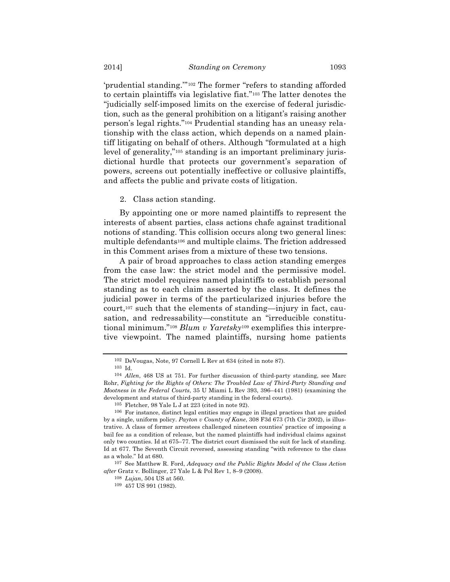'prudential standing.'"102 The former "refers to standing afforded to certain plaintiffs via legislative fiat."103 The latter denotes the "judicially self-imposed limits on the exercise of federal jurisdiction, such as the general prohibition on a litigant's raising another person's legal rights."104 Prudential standing has an uneasy relationship with the class action, which depends on a named plaintiff litigating on behalf of others. Although "formulated at a high level of generality,"<sup>105</sup> standing is an important preliminary jurisdictional hurdle that protects our government's separation of powers, screens out potentially ineffective or collusive plaintiffs, and affects the public and private costs of litigation.

2. Class action standing.

By appointing one or more named plaintiffs to represent the interests of absent parties, class actions chafe against traditional notions of standing. This collision occurs along two general lines: multiple defendants106 and multiple claims. The friction addressed in this Comment arises from a mixture of these two tensions.

A pair of broad approaches to class action standing emerges from the case law: the strict model and the permissive model. The strict model requires named plaintiffs to establish personal standing as to each claim asserted by the class. It defines the judicial power in terms of the particularized injuries before the court,107 such that the elements of standing—injury in fact, causation, and redressability—constitute an "irreducible constitutional minimum."108 *Blum v Yaretsky*<sup>109</sup> exemplifies this interpretive viewpoint. The named plaintiffs, nursing home patients

<sup>102</sup> DeVougas, Note, 97 Cornell L Rev at 634 (cited in note 87).

<sup>103</sup> Id.

<sup>104</sup> *Allen*, 468 US at 751. For further discussion of third-party standing, see Marc Rohr, *Fighting for the Rights of Others: The Troubled Law of Third-Party Standing and Mootness in the Federal Courts*, 35 U Miami L Rev 393, 396–441 (1981) (examining the development and status of third-party standing in the federal courts).

<sup>105</sup> Fletcher, 98 Yale L J at 223 (cited in note 92).

<sup>106</sup> For instance, distinct legal entities may engage in illegal practices that are guided by a single, uniform policy. *Payton v County of Kane*, 308 F3d 673 (7th Cir 2002), is illustrative. A class of former arrestees challenged nineteen counties' practice of imposing a bail fee as a condition of release, but the named plaintiffs had individual claims against only two counties. Id at 675–77. The district court dismissed the suit for lack of standing. Id at 677. The Seventh Circuit reversed, assessing standing "with reference to the class as a whole." Id at 680.

<sup>107</sup> See Matthew R. Ford, *Adequacy and the Public Rights Model of the Class Action after* Gratz v. Bollinger, 27 Yale L & Pol Rev 1, 8–9 (2008).

<sup>108</sup> *Lujan*, 504 US at 560.

<sup>109</sup> 457 US 991 (1982).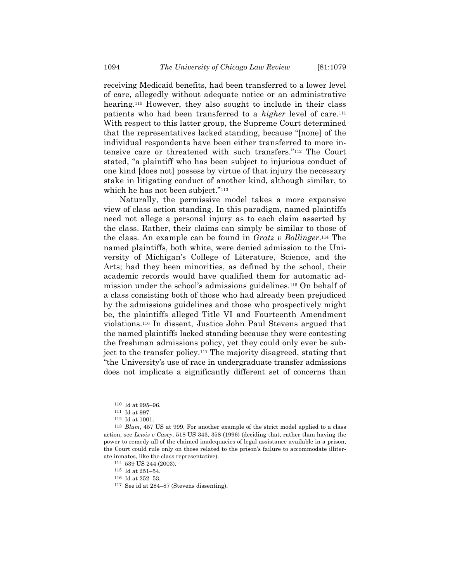receiving Medicaid benefits, had been transferred to a lower level of care, allegedly without adequate notice or an administrative hearing.<sup>110</sup> However, they also sought to include in their class patients who had been transferred to a *higher* level of care.111 With respect to this latter group, the Supreme Court determined that the representatives lacked standing, because "[none] of the individual respondents have been either transferred to more intensive care or threatened with such transfers."112 The Court stated, "a plaintiff who has been subject to injurious conduct of one kind [does not] possess by virtue of that injury the necessary stake in litigating conduct of another kind, although similar, to which he has not been subject."113

Naturally, the permissive model takes a more expansive view of class action standing. In this paradigm, named plaintiffs need not allege a personal injury as to each claim asserted by the class. Rather, their claims can simply be similar to those of the class. An example can be found in *Gratz v Bollinger*.114 The named plaintiffs, both white, were denied admission to the University of Michigan's College of Literature, Science, and the Arts; had they been minorities, as defined by the school, their academic records would have qualified them for automatic admission under the school's admissions guidelines.115 On behalf of a class consisting both of those who had already been prejudiced by the admissions guidelines and those who prospectively might be, the plaintiffs alleged Title VI and Fourteenth Amendment violations.116 In dissent, Justice John Paul Stevens argued that the named plaintiffs lacked standing because they were contesting the freshman admissions policy, yet they could only ever be subject to the transfer policy.117 The majority disagreed, stating that "the University's use of race in undergraduate transfer admissions does not implicate a significantly different set of concerns than

<sup>110</sup> Id at 995–96.

 $^{\rm 111}$  Id at 997.

<sup>112</sup> Id at 1001.

<sup>113</sup> *Blum*, 457 US at 999. For another example of the strict model applied to a class action, see *Lewis v Casey*, 518 US 343, 358 (1996) (deciding that, rather than having the power to remedy all of the claimed inadequacies of legal assistance available in a prison, the Court could rule only on those related to the prison's failure to accommodate illiterate inmates, like the class representative).

<sup>114</sup> 539 US 244 (2003).

<sup>115</sup> Id at 251–54.

<sup>116</sup> Id at 252–53.

<sup>117</sup> See id at 284–87 (Stevens dissenting).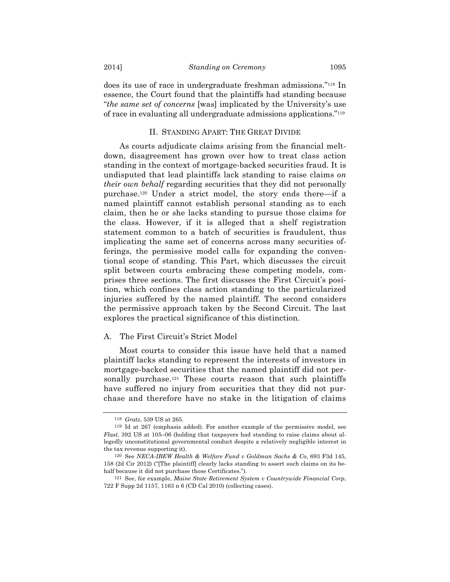does its use of race in undergraduate freshman admissions."118 In essence, the Court found that the plaintiffs had standing because "*the same set of concerns* [was] implicated by the University's use of race in evaluating all undergraduate admissions applications."119

### II. STANDING APART: THE GREAT DIVIDE

As courts adjudicate claims arising from the financial meltdown, disagreement has grown over how to treat class action standing in the context of mortgage-backed securities fraud. It is undisputed that lead plaintiffs lack standing to raise claims *on their own behalf* regarding securities that they did not personally purchase.120 Under a strict model, the story ends there—if a named plaintiff cannot establish personal standing as to each claim, then he or she lacks standing to pursue those claims for the class. However, if it is alleged that a shelf registration statement common to a batch of securities is fraudulent, thus implicating the same set of concerns across many securities offerings, the permissive model calls for expanding the conventional scope of standing. This Part, which discusses the circuit split between courts embracing these competing models, comprises three sections. The first discusses the First Circuit's position, which confines class action standing to the particularized injuries suffered by the named plaintiff. The second considers the permissive approach taken by the Second Circuit. The last explores the practical significance of this distinction.

### A. The First Circuit's Strict Model

Most courts to consider this issue have held that a named plaintiff lacks standing to represent the interests of investors in mortgage-backed securities that the named plaintiff did not personally purchase.<sup>121</sup> These courts reason that such plaintiffs have suffered no injury from securities that they did not purchase and therefore have no stake in the litigation of claims

<sup>118</sup> *Gratz*, 539 US at 265.

<sup>119</sup> Id at 267 (emphasis added). For another example of the permissive model, see *Flast*, 392 US at 105–06 (holding that taxpayers had standing to raise claims about allegedly unconstitutional governmental conduct despite a relatively negligible interest in the tax revenue supporting it).

<sup>120</sup> See *NECA-IBEW Health & Welfare Fund v Goldman Sachs & Co*, 693 F3d 145, 158 (2d Cir 2012) ("[The plaintiff] clearly lacks standing to assert such claims on its behalf because it did not purchase those Certificates.").

<sup>121</sup> See, for example, *Maine State Retirement System v Countrywide Financial Corp*, 722 F Supp 2d 1157, 1163 n 6 (CD Cal 2010) (collecting cases).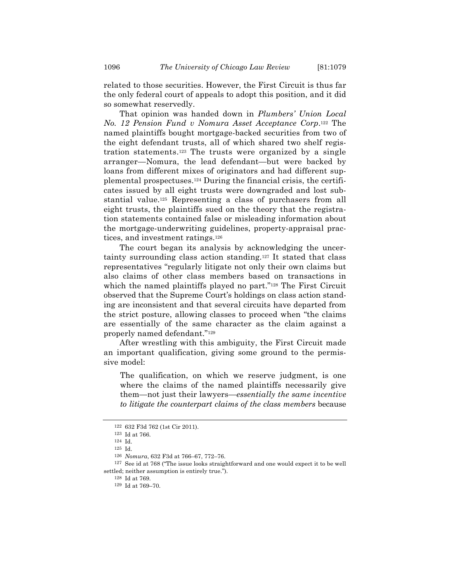related to those securities. However, the First Circuit is thus far the only federal court of appeals to adopt this position, and it did so somewhat reservedly.

That opinion was handed down in *Plumbers' Union Local No. 12 Pension Fund v Nomura Asset Acceptance Corp*.122 The named plaintiffs bought mortgage-backed securities from two of the eight defendant trusts, all of which shared two shelf registration statements.123 The trusts were organized by a single arranger—Nomura, the lead defendant—but were backed by loans from different mixes of originators and had different supplemental prospectuses.124 During the financial crisis, the certificates issued by all eight trusts were downgraded and lost substantial value.125 Representing a class of purchasers from all eight trusts, the plaintiffs sued on the theory that the registration statements contained false or misleading information about the mortgage-underwriting guidelines, property-appraisal practices, and investment ratings.126

The court began its analysis by acknowledging the uncertainty surrounding class action standing.127 It stated that class representatives "regularly litigate not only their own claims but also claims of other class members based on transactions in which the named plaintiffs played no part."<sup>128</sup> The First Circuit observed that the Supreme Court's holdings on class action standing are inconsistent and that several circuits have departed from the strict posture, allowing classes to proceed when "the claims are essentially of the same character as the claim against a properly named defendant."129

After wrestling with this ambiguity, the First Circuit made an important qualification, giving some ground to the permissive model:

The qualification, on which we reserve judgment, is one where the claims of the named plaintiffs necessarily give them—not just their lawyers—*essentially the same incentive to litigate the counterpart claims of the class members* because

<sup>122</sup> 632 F3d 762 (1st Cir 2011).

<sup>123</sup> Id at 766.

<sup>124</sup> Id.

<sup>125</sup> Id.

<sup>126</sup> *Nomura*, 632 F3d at 766–67, 772–76.

<sup>127</sup> See id at 768 ("The issue looks straightforward and one would expect it to be well settled; neither assumption is entirely true.").

<sup>128</sup> Id at 769.

<sup>129</sup> Id at 769–70.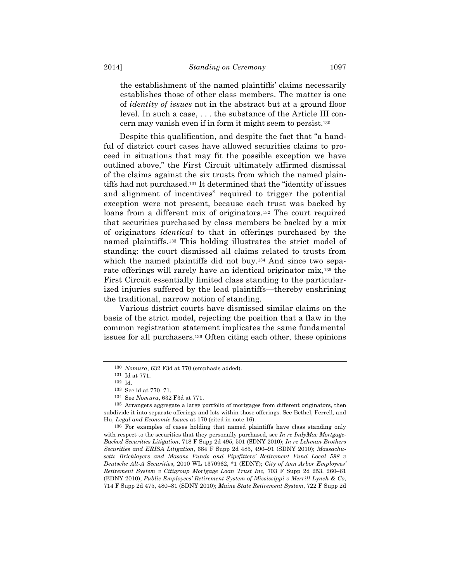the establishment of the named plaintiffs' claims necessarily establishes those of other class members. The matter is one of *identity of issues* not in the abstract but at a ground floor level. In such a case, . . . the substance of the Article III concern may vanish even if in form it might seem to persist.130

Despite this qualification, and despite the fact that "a handful of district court cases have allowed securities claims to proceed in situations that may fit the possible exception we have outlined above," the First Circuit ultimately affirmed dismissal of the claims against the six trusts from which the named plaintiffs had not purchased.131 It determined that the "identity of issues and alignment of incentives" required to trigger the potential exception were not present, because each trust was backed by loans from a different mix of originators.132 The court required that securities purchased by class members be backed by a mix of originators *identical* to that in offerings purchased by the named plaintiffs.133 This holding illustrates the strict model of standing: the court dismissed all claims related to trusts from which the named plaintiffs did not buy.<sup>134</sup> And since two separate offerings will rarely have an identical originator mix,135 the First Circuit essentially limited class standing to the particularized injuries suffered by the lead plaintiffs—thereby enshrining the traditional, narrow notion of standing.

Various district courts have dismissed similar claims on the basis of the strict model, rejecting the position that a flaw in the common registration statement implicates the same fundamental issues for all purchasers.136 Often citing each other, these opinions

<sup>130</sup> *Nomura*, 632 F3d at 770 (emphasis added).

<sup>131</sup> Id at 771.

<sup>132</sup> Id.

<sup>133</sup> See id at 770–71.

<sup>134</sup> See *Nomura*, 632 F3d at 771.

<sup>135</sup> Arrangers aggregate a large portfolio of mortgages from different originators, then subdivide it into separate offerings and lots within those offerings. See Bethel, Ferrell, and Hu, *Legal and Economic Issues* at 170 (cited in note 16).

<sup>136</sup> For examples of cases holding that named plaintiffs have class standing only with respect to the securities that they personally purchased, see *In re IndyMac Mortgage-Backed Securities Litigation*, 718 F Supp 2d 495, 501 (SDNY 2010); *In re Lehman Brothers Securities and ERISA Litigation*, 684 F Supp 2d 485, 490–91 (SDNY 2010); *Massachusetts Bricklayers and Masons Funds and Pipefitters' Retirement Fund Local 598 v Deutsche Alt-A Securities*, 2010 WL 1370962, \*1 (EDNY); *City of Ann Arbor Employees' Retirement System v Citigroup Mortgage Loan Trust Inc*, 703 F Supp 2d 253, 260–61 (EDNY 2010); *Public Employees' Retirement System of Mississippi v Merrill Lynch & Co*, 714 F Supp 2d 475, 480–81 (SDNY 2010); *Maine State Retirement System*, 722 F Supp 2d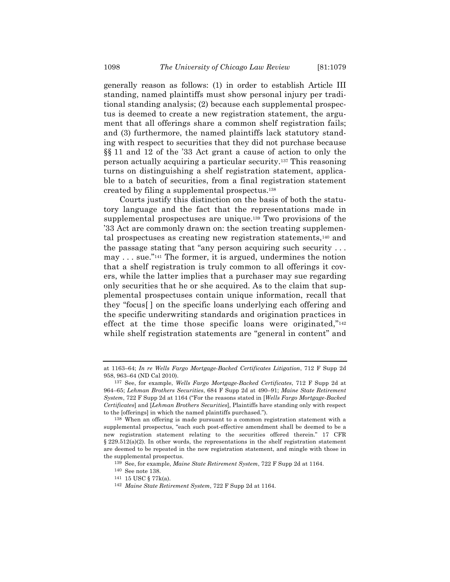generally reason as follows: (1) in order to establish Article III standing, named plaintiffs must show personal injury per traditional standing analysis; (2) because each supplemental prospectus is deemed to create a new registration statement, the argument that all offerings share a common shelf registration fails; and (3) furthermore, the named plaintiffs lack statutory standing with respect to securities that they did not purchase because §§ 11 and 12 of the '33 Act grant a cause of action to only the person actually acquiring a particular security.137 This reasoning turns on distinguishing a shelf registration statement, applicable to a batch of securities, from a final registration statement created by filing a supplemental prospectus.138

Courts justify this distinction on the basis of both the statutory language and the fact that the representations made in supplemental prospectuses are unique.139 Two provisions of the '33 Act are commonly drawn on: the section treating supplemental prospectuses as creating new registration statements,140 and the passage stating that "any person acquiring such security . . . may . . . sue."141 The former, it is argued, undermines the notion that a shelf registration is truly common to all offerings it covers, while the latter implies that a purchaser may sue regarding only securities that he or she acquired. As to the claim that supplemental prospectuses contain unique information, recall that they "focus[ ] on the specific loans underlying each offering and the specific underwriting standards and origination practices in effect at the time those specific loans were originated,"142 while shelf registration statements are "general in content" and

at 1163–64; *In re Wells Fargo Mortgage-Backed Certificates Litigation*, 712 F Supp 2d 958, 963–64 (ND Cal 2010).

<sup>137</sup> See, for example, *Wells Fargo Mortgage-Backed Certificates*, 712 F Supp 2d at 964–65; *Lehman Brothers Securities*, 684 F Supp 2d at 490–91; *Maine State Retirement System*, 722 F Supp 2d at 1164 ("For the reasons stated in [*Wells Fargo Mortgage-Backed Certificates*] and [*Lehman Brothers Securities*], Plaintiffs have standing only with respect to the [offerings] in which the named plaintiffs purchased.").

<sup>138</sup> When an offering is made pursuant to a common registration statement with a supplemental prospectus, "each such post-effective amendment shall be deemed to be a new registration statement relating to the securities offered therein." 17 CFR  $\S 229.512(a)(2)$ . In other words, the representations in the shelf registration statement are deemed to be repeated in the new registration statement, and mingle with those in the supplemental prospectus.

<sup>139</sup> See, for example, *Maine State Retirement System*, 722 F Supp 2d at 1164.

<sup>140</sup> See note 138.

<sup>141</sup> 15 USC § 77k(a).

<sup>142</sup> *Maine State Retirement System*, 722 F Supp 2d at 1164.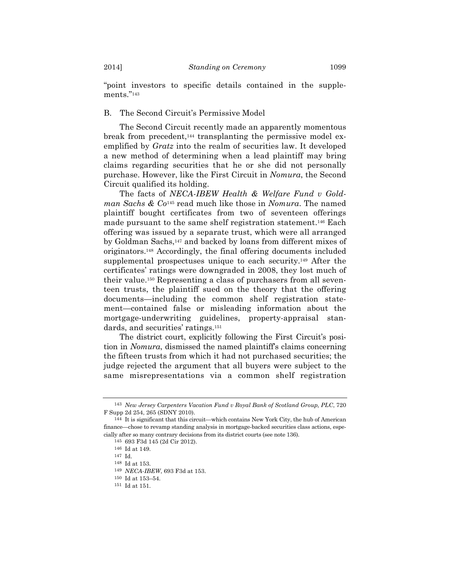"point investors to specific details contained in the supplements."143

# B. The Second Circuit's Permissive Model

The Second Circuit recently made an apparently momentous break from precedent,144 transplanting the permissive model exemplified by *Gratz* into the realm of securities law. It developed a new method of determining when a lead plaintiff may bring claims regarding securities that he or she did not personally purchase. However, like the First Circuit in *Nomura*, the Second Circuit qualified its holding.

The facts of *NECA-IBEW Health & Welfare Fund v Goldman Sachs & Co*145 read much like those in *Nomura*. The named plaintiff bought certificates from two of seventeen offerings made pursuant to the same shelf registration statement.146 Each offering was issued by a separate trust, which were all arranged by Goldman Sachs,147 and backed by loans from different mixes of originators.148 Accordingly, the final offering documents included supplemental prospectuses unique to each security.149 After the certificates' ratings were downgraded in 2008, they lost much of their value.150 Representing a class of purchasers from all seventeen trusts, the plaintiff sued on the theory that the offering documents—including the common shelf registration statement—contained false or misleading information about the mortgage-underwriting guidelines, property-appraisal standards, and securities' ratings.151

The district court, explicitly following the First Circuit's position in *Nomura*, dismissed the named plaintiff's claims concerning the fifteen trusts from which it had not purchased securities; the judge rejected the argument that all buyers were subject to the same misrepresentations via a common shelf registration

<sup>143</sup> *New Jersey Carpenters Vacation Fund v Royal Bank of Scotland Group, PLC*, 720 F Supp 2d 254, 265 (SDNY 2010).

<sup>144</sup> It is significant that this circuit—which contains New York City, the hub of American finance—chose to revamp standing analysis in mortgage-backed securities class actions, especially after so many contrary decisions from its district courts (see note 136).

<sup>145</sup> 693 F3d 145 (2d Cir 2012).

<sup>146</sup> Id at 149.

<sup>147</sup> Id.

<sup>148</sup> Id at 153.

<sup>149</sup> *NECA-IBEW*, 693 F3d at 153.

 $^{\rm 150}$  Id at 153–54.

<sup>151</sup> Id at 151.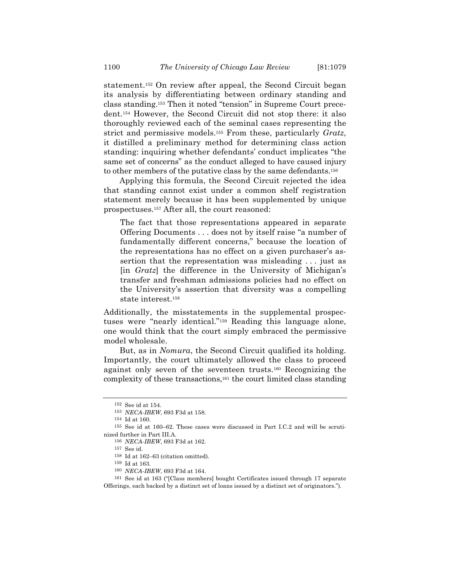statement.152 On review after appeal, the Second Circuit began its analysis by differentiating between ordinary standing and class standing.153 Then it noted "tension" in Supreme Court precedent.154 However, the Second Circuit did not stop there: it also thoroughly reviewed each of the seminal cases representing the strict and permissive models.155 From these, particularly *Gratz*, it distilled a preliminary method for determining class action standing: inquiring whether defendants' conduct implicates "the same set of concerns" as the conduct alleged to have caused injury to other members of the putative class by the same defendants.156

Applying this formula, the Second Circuit rejected the idea that standing cannot exist under a common shelf registration statement merely because it has been supplemented by unique prospectuses.157 After all, the court reasoned:

The fact that those representations appeared in separate Offering Documents . . . does not by itself raise "a number of fundamentally different concerns," because the location of the representations has no effect on a given purchaser's assertion that the representation was misleading . . . just as [in *Gratz*] the difference in the University of Michigan's transfer and freshman admissions policies had no effect on the University's assertion that diversity was a compelling state interest.158

Additionally, the misstatements in the supplemental prospectuses were "nearly identical."159 Reading this language alone, one would think that the court simply embraced the permissive model wholesale.

But, as in *Nomura*, the Second Circuit qualified its holding. Importantly, the court ultimately allowed the class to proceed against only seven of the seventeen trusts.160 Recognizing the complexity of these transactions,161 the court limited class standing

<sup>152</sup> See id at 154.

<sup>153</sup> *NECA-IBEW*, 693 F3d at 158.

<sup>154</sup> Id at 160.

<sup>155</sup> See id at 160–62. These cases were discussed in Part I.C.2 and will be scrutinized further in Part III.A.

<sup>156</sup> *NECA-IBEW*, 693 F3d at 162.

 $^{157}\,$  See id.

<sup>158</sup> Id at 162–63 (citation omitted).

<sup>159</sup> Id at 163.

<sup>160</sup> *NECA-IBEW*, 693 F3d at 164.

<sup>161</sup> See id at 163 ("[Class members] bought Certificates issued through 17 separate Offerings, each backed by a distinct set of loans issued by a distinct set of originators.").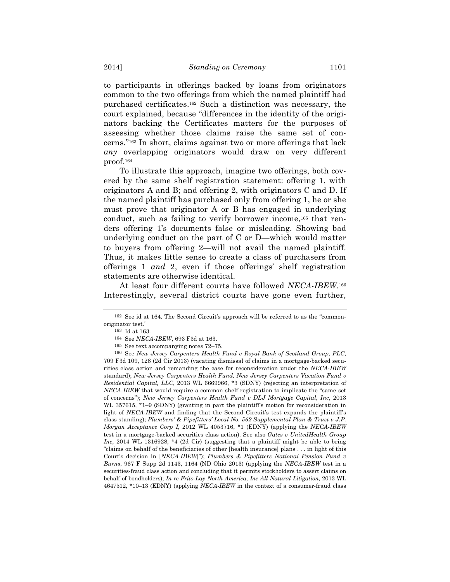to participants in offerings backed by loans from originators common to the two offerings from which the named plaintiff had purchased certificates.162 Such a distinction was necessary, the court explained, because "differences in the identity of the originators backing the Certificates matters for the purposes of assessing whether those claims raise the same set of concerns."163 In short, claims against two or more offerings that lack *any* overlapping originators would draw on very different proof.164

To illustrate this approach, imagine two offerings, both covered by the same shelf registration statement: offering 1, with originators A and B; and offering 2, with originators C and D. If the named plaintiff has purchased only from offering 1, he or she must prove that originator A or B has engaged in underlying conduct, such as failing to verify borrower income,165 that renders offering 1's documents false or misleading. Showing bad underlying conduct on the part of C or D—which would matter to buyers from offering 2—will not avail the named plaintiff. Thus, it makes little sense to create a class of purchasers from offerings 1 *and* 2, even if those offerings' shelf registration statements are otherwise identical.

At least four different courts have followed *NECA-IBEW*.166 Interestingly, several district courts have gone even further,

<sup>162</sup> See id at 164. The Second Circuit's approach will be referred to as the "commonoriginator test."

<sup>163</sup> Id at 163.

<sup>164</sup> See *NECA-IBEW*, 693 F3d at 163.

<sup>165</sup> See text accompanying notes 72–75.

<sup>166</sup> See *New Jersey Carpenters Health Fund v Royal Bank of Scotland Group, PLC*, 709 F3d 109, 128 (2d Cir 2013) (vacating dismissal of claims in a mortgage-backed securities class action and remanding the case for reconsideration under the *NECA-IBEW* standard); *New Jersey Carpenters Health Fund, New Jersey Carpenters Vacation Fund v Residential Capital, LLC*, 2013 WL 6669966, \*3 (SDNY) (rejecting an interpretation of *NECA-IBEW* that would require a common shelf registration to implicate the "same set of concerns"); *New Jersey Carpenters Health Fund v DLJ Mortgage Capital, Inc*, 2013 WL 357615, \*1–9 (SDNY) (granting in part the plaintiff's motion for reconsideration in light of *NECA-IBEW* and finding that the Second Circuit's test expands the plaintiff's class standing); *Plumbers' & Pipefitters' Local No. 562 Supplemental Plan & Trust v J.P. Morgan Acceptance Corp I*, 2012 WL 4053716, \*1 (EDNY) (applying the *NECA-IBEW* test in a mortgage-backed securities class action). See also *Gates v UnitedHealth Group Inc*, 2014 WL 1316928, \*4 (2d Cir) (suggesting that a plaintiff might be able to bring "claims on behalf of the beneficiaries of other [health insurance] plans . . . in light of this Court's decision in [*NECA-IBEW*]"); *Plumbers & Pipefitters National Pension Fund v Burns*, 967 F Supp 2d 1143, 1164 (ND Ohio 2013) (applying the *NECA-IBEW* test in a securities-fraud class action and concluding that it permits stockholders to assert claims on behalf of bondholders); *In re Frito-Lay North America, Inc All Natural Litigation*, 2013 WL 4647512, \*10–13 (EDNY) (applying *NECA-IBEW* in the context of a consumer-fraud class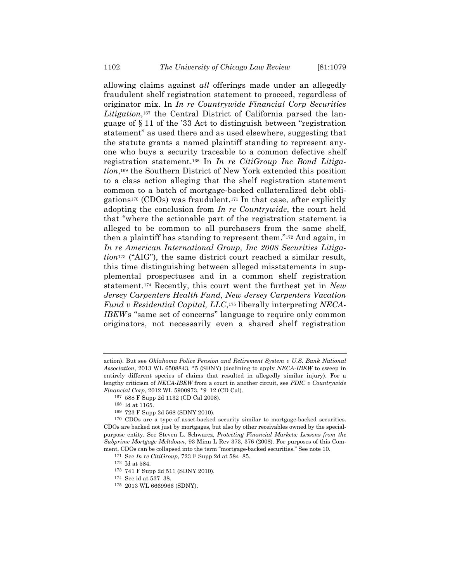allowing claims against *all* offerings made under an allegedly fraudulent shelf registration statement to proceed, regardless of originator mix. In *In re Countrywide Financial Corp Securities Litigation*,167 the Central District of California parsed the language of § 11 of the '33 Act to distinguish between "registration statement" as used there and as used elsewhere, suggesting that the statute grants a named plaintiff standing to represent anyone who buys a security traceable to a common defective shelf registration statement.168 In *In re CitiGroup Inc Bond Litigation*,169 the Southern District of New York extended this position to a class action alleging that the shelf registration statement common to a batch of mortgage-backed collateralized debt obligations<sup>170</sup> (CDOs) was fraudulent.<sup>171</sup> In that case, after explicitly adopting the conclusion from *In re Countrywide*, the court held that "where the actionable part of the registration statement is alleged to be common to all purchasers from the same shelf, then a plaintiff has standing to represent them."172 And again, in *In re American International Group, Inc 2008 Securities Litigation*173 ("AIG"), the same district court reached a similar result, this time distinguishing between alleged misstatements in supplemental prospectuses and in a common shelf registration statement.174 Recently, this court went the furthest yet in *New Jersey Carpenters Health Fund, New Jersey Carpenters Vacation Fund v Residential Capital, LLC*,175 liberally interpreting *NECA-IBEW*'s "same set of concerns" language to require only common originators, not necessarily even a shared shelf registration

action). But see *Oklahoma Police Pension and Retirement System v U.S. Bank National Association*, 2013 WL 6508843, \*5 (SDNY) (declining to apply *NECA-IBEW* to sweep in entirely different species of claims that resulted in allegedly similar injury). For a lengthy criticism of *NECA-IBEW* from a court in another circuit, see *FDIC v Countrywide Financial Corp*, 2012 WL 5900973, \*9–12 (CD Cal).

<sup>167</sup> 588 F Supp 2d 1132 (CD Cal 2008).

<sup>168</sup> Id at 1165.

<sup>169</sup> 723 F Supp 2d 568 (SDNY 2010).

<sup>170</sup> CDOs are a type of asset-backed security similar to mortgage-backed securities. CDOs are backed not just by mortgages, but also by other receivables owned by the specialpurpose entity. See Steven L. Schwarcz, *Protecting Financial Markets: Lessons from the Subprime Mortgage Meltdown*, 93 Minn L Rev 373, 376 (2008). For purposes of this Comment, CDOs can be collapsed into the term "mortgage-backed securities." See note 10.

<sup>171</sup> See *In re CitiGroup*, 723 F Supp 2d at 584–85.

 $^{\rm 172}$  Id at 584.

<sup>173</sup> 741 F Supp 2d 511 (SDNY 2010).

<sup>174</sup> See id at 537–38.

<sup>175</sup> 2013 WL 6669966 (SDNY).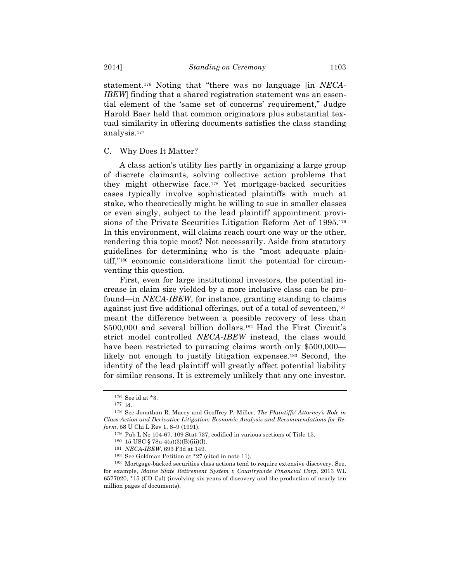statement.176 Noting that "there was no language [in *NECA-IBEW*] finding that a shared registration statement was an essential element of the 'same set of concerns' requirement," Judge Harold Baer held that common originators plus substantial textual similarity in offering documents satisfies the class standing analysis.177

### C. Why Does It Matter?

A class action's utility lies partly in organizing a large group of discrete claimants, solving collective action problems that they might otherwise face.178 Yet mortgage-backed securities cases typically involve sophisticated plaintiffs with much at stake, who theoretically might be willing to sue in smaller classes or even singly, subject to the lead plaintiff appointment provisions of the Private Securities Litigation Reform Act of 1995.179 In this environment, will claims reach court one way or the other, rendering this topic moot? Not necessarily. Aside from statutory guidelines for determining who is the "most adequate plaintiff,"180 economic considerations limit the potential for circumventing this question.

First, even for large institutional investors, the potential increase in claim size yielded by a more inclusive class can be profound—in *NECA-IBEW*, for instance, granting standing to claims against just five additional offerings, out of a total of seventeen,181 meant the difference between a possible recovery of less than \$500,000 and several billion dollars.<sup>182</sup> Had the First Circuit's strict model controlled *NECA-IBEW* instead, the class would have been restricted to pursuing claims worth only \$500,000 likely not enough to justify litigation expenses.183 Second, the identity of the lead plaintiff will greatly affect potential liability for similar reasons. It is extremely unlikely that any one investor,

<sup>176</sup> See id at \*3.

<sup>177</sup> Id.

<sup>178</sup> See Jonathan R. Macey and Geoffrey P. Miller, *The Plaintiffs' Attorney's Role in Class Action and Derivative Litigation: Economic Analysis and Recommendations for Reform*, 58 U Chi L Rev 1, 8–9 (1991).

<sup>179</sup> Pub L No 104-67, 109 Stat 737, codified in various sections of Title 15.

<sup>180</sup> 15 USC § 78u-4(a)(3)(B)(iii)(I).

<sup>181</sup> *NECA-IBEW*, 693 F3d at 149.

<sup>182</sup> See Goldman Petition at \*27 (cited in note 11).

<sup>183</sup> Mortgage-backed securities class actions tend to require extensive discovery. See, for example, *Maine State Retirement System v Countrywide Financial Corp*, 2013 WL 6577020, \*15 (CD Cal) (involving six years of discovery and the production of nearly ten million pages of documents).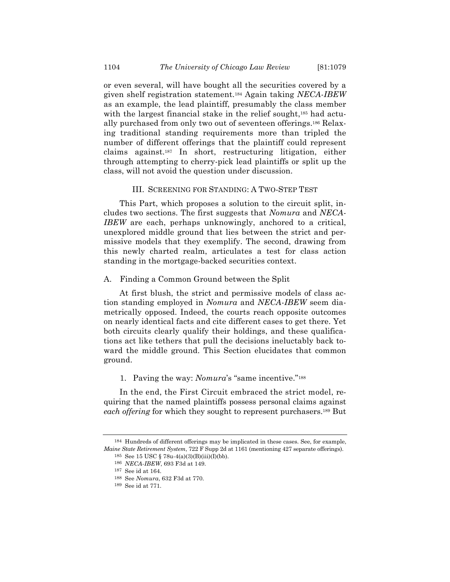or even several, will have bought all the securities covered by a given shelf registration statement.184 Again taking *NECA-IBEW* as an example, the lead plaintiff, presumably the class member with the largest financial stake in the relief sought,<sup>185</sup> had actually purchased from only two out of seventeen offerings.186 Relaxing traditional standing requirements more than tripled the number of different offerings that the plaintiff could represent claims against.187 In short, restructuring litigation, either through attempting to cherry-pick lead plaintiffs or split up the class, will not avoid the question under discussion.

# III. SCREENING FOR STANDING: A TWO-STEP TEST

This Part, which proposes a solution to the circuit split, includes two sections. The first suggests that *Nomura* and *NECA-IBEW* are each, perhaps unknowingly, anchored to a critical, unexplored middle ground that lies between the strict and permissive models that they exemplify. The second, drawing from this newly charted realm, articulates a test for class action standing in the mortgage-backed securities context.

## A. Finding a Common Ground between the Split

At first blush, the strict and permissive models of class action standing employed in *Nomura* and *NECA-IBEW* seem diametrically opposed. Indeed, the courts reach opposite outcomes on nearly identical facts and cite different cases to get there. Yet both circuits clearly qualify their holdings, and these qualifications act like tethers that pull the decisions ineluctably back toward the middle ground. This Section elucidates that common ground.

# 1. Paving the way: *Nomura*'s "same incentive."188

In the end, the First Circuit embraced the strict model, requiring that the named plaintiffs possess personal claims against *each offering* for which they sought to represent purchasers.189 But

<sup>184</sup> Hundreds of different offerings may be implicated in these cases. See, for example, *Maine State Retirement System*, 722 F Supp 2d at 1161 (mentioning 427 separate offerings). 185 See 15 USC  $\S$  78u-4(a)(3)(B)(iii)(I)(bb).

<sup>186</sup> *NECA-IBEW*, 693 F3d at 149.

<sup>187</sup> See id at 164.

<sup>188</sup> See *Nomura*, 632 F3d at 770.

<sup>189</sup> See id at 771.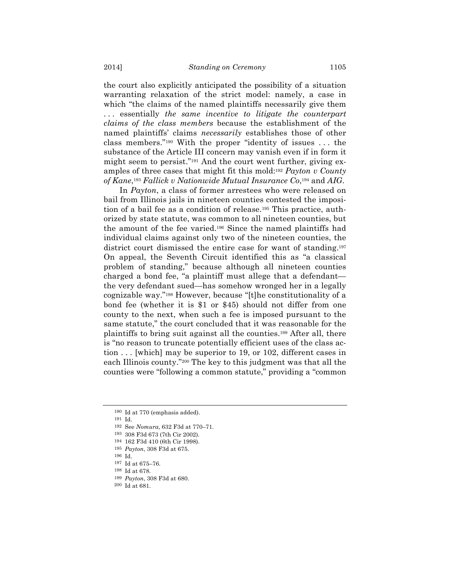the court also explicitly anticipated the possibility of a situation warranting relaxation of the strict model: namely, a case in which "the claims of the named plaintiffs necessarily give them . . . essentially *the same incentive to litigate the counterpart claims of the class members* because the establishment of the named plaintiffs' claims *necessarily* establishes those of other class members."190 With the proper "identity of issues . . . the substance of the Article III concern may vanish even if in form it might seem to persist."191 And the court went further, giving examples of three cases that might fit this mold:192 *Payton v County of Kane*,193 *Fallick v Nationwide Mutual Insurance Co*,194 and *AIG*.

In *Payton*, a class of former arrestees who were released on bail from Illinois jails in nineteen counties contested the imposition of a bail fee as a condition of release.195 This practice, authorized by state statute, was common to all nineteen counties, but the amount of the fee varied.196 Since the named plaintiffs had individual claims against only two of the nineteen counties, the district court dismissed the entire case for want of standing.197 On appeal, the Seventh Circuit identified this as "a classical problem of standing," because although all nineteen counties charged a bond fee, "a plaintiff must allege that a defendant the very defendant sued—has somehow wronged her in a legally cognizable way."198 However, because "[t]he constitutionality of a bond fee (whether it is \$1 or \$45) should not differ from one county to the next, when such a fee is imposed pursuant to the same statute," the court concluded that it was reasonable for the plaintiffs to bring suit against all the counties.199 After all, there is "no reason to truncate potentially efficient uses of the class action . . . [which] may be superior to 19, or 102, different cases in each Illinois county."200 The key to this judgment was that all the counties were "following a common statute," providing a "common

<sup>190</sup> Id at 770 (emphasis added).

<sup>191</sup> Id.

<sup>192</sup> See *Nomura*, 632 F3d at 770–71.

<sup>193</sup> 308 F3d 673 (7th Cir 2002).

<sup>194</sup> 162 F3d 410 (6th Cir 1998).

<sup>195</sup> *Payton*, 308 F3d at 675.

<sup>196</sup> Id.

<sup>197</sup> Id at 675–76.

<sup>198</sup> Id at 678.

<sup>199</sup> *Payton*, 308 F3d at 680.

<sup>200</sup> Id at 681.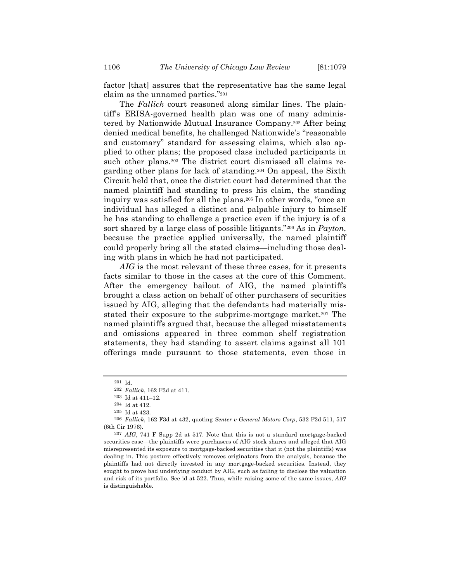factor [that] assures that the representative has the same legal claim as the unnamed parties."201

The *Fallick* court reasoned along similar lines. The plaintiff's ERISA-governed health plan was one of many administered by Nationwide Mutual Insurance Company.202 After being denied medical benefits, he challenged Nationwide's "reasonable and customary" standard for assessing claims, which also applied to other plans; the proposed class included participants in such other plans.<sup>203</sup> The district court dismissed all claims regarding other plans for lack of standing.204 On appeal, the Sixth Circuit held that, once the district court had determined that the named plaintiff had standing to press his claim, the standing inquiry was satisfied for all the plans.205 In other words, "once an individual has alleged a distinct and palpable injury to himself he has standing to challenge a practice even if the injury is of a sort shared by a large class of possible litigants."206 As in *Payton*, because the practice applied universally, the named plaintiff could properly bring all the stated claims—including those dealing with plans in which he had not participated.

*AIG* is the most relevant of these three cases, for it presents facts similar to those in the cases at the core of this Comment. After the emergency bailout of AIG, the named plaintiffs brought a class action on behalf of other purchasers of securities issued by AIG, alleging that the defendants had materially misstated their exposure to the subprime-mortgage market.<sup>207</sup> The named plaintiffs argued that, because the alleged misstatements and omissions appeared in three common shelf registration statements, they had standing to assert claims against all 101 offerings made pursuant to those statements, even those in

<sup>201</sup> Id.

<sup>202</sup> *Fallick*, 162 F3d at 411.

<sup>203</sup> Id at 411–12.

<sup>204</sup> Id at 412.

<sup>205</sup> Id at 423.

<sup>206</sup> *Fallick*, 162 F3d at 432, quoting *Senter v General Motors Corp*, 532 F2d 511, 517 (6th Cir 1976).

<sup>207</sup> *AIG*, 741 F Supp 2d at 517. Note that this is not a standard mortgage-backed securities case—the plaintiffs were purchasers of AIG stock shares and alleged that AIG misrepresented its exposure to mortgage-backed securities that it (not the plaintiffs) was dealing in. This posture effectively removes originators from the analysis, because the plaintiffs had not directly invested in any mortgage-backed securities. Instead, they sought to prove bad underlying conduct by AIG, such as failing to disclose the valuation and risk of its portfolio. See id at 522. Thus, while raising some of the same issues, *AIG* is distinguishable.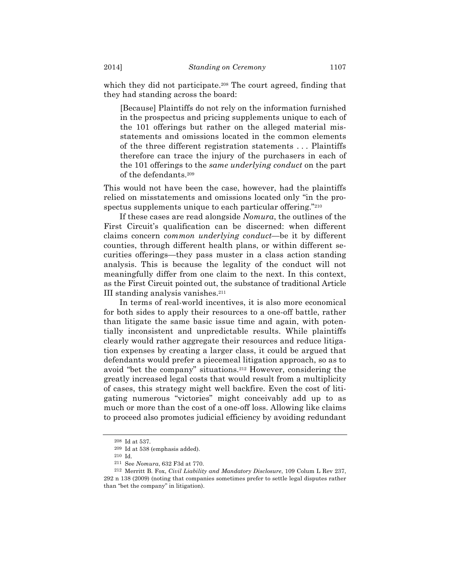which they did not participate.<sup>208</sup> The court agreed, finding that they had standing across the board:

[Because] Plaintiffs do not rely on the information furnished in the prospectus and pricing supplements unique to each of the 101 offerings but rather on the alleged material misstatements and omissions located in the common elements of the three different registration statements . . . Plaintiffs therefore can trace the injury of the purchasers in each of the 101 offerings to the *same underlying conduct* on the part of the defendants.209

This would not have been the case, however, had the plaintiffs relied on misstatements and omissions located only "in the prospectus supplements unique to each particular offering."210

If these cases are read alongside *Nomura*, the outlines of the First Circuit's qualification can be discerned: when different claims concern *common underlying conduct*—be it by different counties, through different health plans, or within different securities offerings—they pass muster in a class action standing analysis. This is because the legality of the conduct will not meaningfully differ from one claim to the next. In this context, as the First Circuit pointed out, the substance of traditional Article III standing analysis vanishes.211

In terms of real-world incentives, it is also more economical for both sides to apply their resources to a one-off battle, rather than litigate the same basic issue time and again, with potentially inconsistent and unpredictable results. While plaintiffs clearly would rather aggregate their resources and reduce litigation expenses by creating a larger class, it could be argued that defendants would prefer a piecemeal litigation approach, so as to avoid "bet the company" situations.212 However, considering the greatly increased legal costs that would result from a multiplicity of cases, this strategy might well backfire. Even the cost of litigating numerous "victories" might conceivably add up to as much or more than the cost of a one-off loss. Allowing like claims to proceed also promotes judicial efficiency by avoiding redundant

<sup>208</sup> Id at 537.

<sup>209</sup> Id at 538 (emphasis added).

<sup>210</sup> Id.

<sup>211</sup> See *Nomura*, 632 F3d at 770.

<sup>212</sup> Merritt B. Fox, *Civil Liability and Mandatory Disclosure*, 109 Colum L Rev 237, 292 n 138 (2009) (noting that companies sometimes prefer to settle legal disputes rather than "bet the company" in litigation).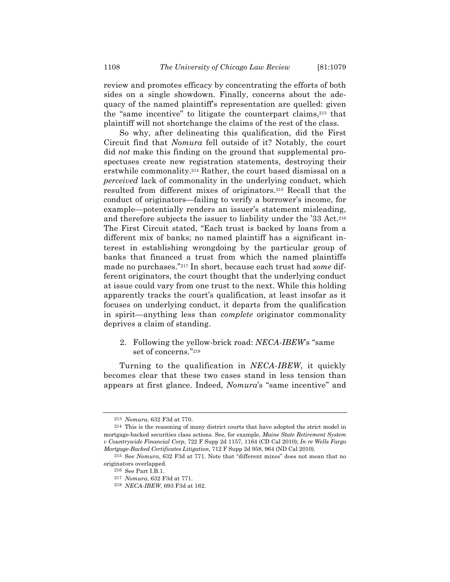review and promotes efficacy by concentrating the efforts of both sides on a single showdown. Finally, concerns about the adequacy of the named plaintiff's representation are quelled: given the "same incentive" to litigate the counterpart claims,213 that plaintiff will not shortchange the claims of the rest of the class.

So why, after delineating this qualification, did the First Circuit find that *Nomura* fell outside of it? Notably, the court did *not* make this finding on the ground that supplemental prospectuses create new registration statements, destroying their erstwhile commonality.214 Rather, the court based dismissal on a *perceived* lack of commonality in the underlying conduct, which resulted from different mixes of originators.215 Recall that the conduct of originators—failing to verify a borrower's income, for example—potentially renders an issuer's statement misleading, and therefore subjects the issuer to liability under the '33 Act.216 The First Circuit stated, "Each trust is backed by loans from a different mix of banks; no named plaintiff has a significant interest in establishing wrongdoing by the particular group of banks that financed a trust from which the named plaintiffs made no purchases."217 In short, because each trust had *some* different originators, the court thought that the underlying conduct at issue could vary from one trust to the next. While this holding apparently tracks the court's qualification, at least insofar as it focuses on underlying conduct, it departs from the qualification in spirit—anything less than *complete* originator commonality deprives a claim of standing.

# 2. Following the yellow-brick road: *NECA-IBEW*'s "same set of concerns."218

Turning to the qualification in *NECA-IBEW*, it quickly becomes clear that these two cases stand in less tension than appears at first glance. Indeed, *Nomura*'s "same incentive" and

<sup>213</sup> *Nomura*, 632 F3d at 770.

<sup>214</sup> This is the reasoning of many district courts that have adopted the strict model in mortgage-backed securities class actions. See, for example, *Maine State Retirement System v Countrywide Financial Corp*, 722 F Supp 2d 1157, 1164 (CD Cal 2010); *In re Wells Fargo Mortgage-Backed Certificates Litigation*, 712 F Supp 2d 958, 964 (ND Cal 2010).

<sup>215</sup> See *Nomura*, 632 F3d at 771. Note that "different mixes" does not mean that no originators overlapped.

<sup>216</sup> See Part I.B.1.

<sup>217</sup> *Nomura*, 632 F3d at 771.

<sup>218</sup> *NECA-IBEW*, 693 F3d at 162.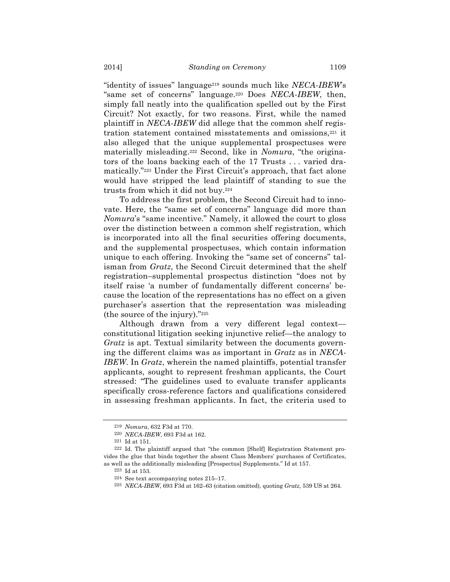"identity of issues" language219 sounds much like *NECA-IBEW*'s "same set of concerns" language.220 Does *NECA-IBEW*, then, simply fall neatly into the qualification spelled out by the First Circuit? Not exactly, for two reasons. First, while the named plaintiff in *NECA-IBEW* did allege that the common shelf registration statement contained misstatements and omissions,221 it also alleged that the unique supplemental prospectuses were materially misleading.222 Second, like in *Nomura*, "the originators of the loans backing each of the 17 Trusts . . . varied dramatically."223 Under the First Circuit's approach, that fact alone would have stripped the lead plaintiff of standing to sue the trusts from which it did not buy.224

To address the first problem, the Second Circuit had to innovate. Here, the "same set of concerns" language did more than *Nomura*'s "same incentive." Namely, it allowed the court to gloss over the distinction between a common shelf registration, which is incorporated into all the final securities offering documents, and the supplemental prospectuses, which contain information unique to each offering. Invoking the "same set of concerns" talisman from *Gratz*, the Second Circuit determined that the shelf registration–supplemental prospectus distinction "does not by itself raise 'a number of fundamentally different concerns' because the location of the representations has no effect on a given purchaser's assertion that the representation was misleading (the source of the injury)."225

Although drawn from a very different legal context constitutional litigation seeking injunctive relief—the analogy to *Gratz* is apt. Textual similarity between the documents governing the different claims was as important in *Gratz* as in *NECA-IBEW*. In *Gratz*, wherein the named plaintiffs, potential transfer applicants, sought to represent freshman applicants, the Court stressed: "The guidelines used to evaluate transfer applicants specifically cross-reference factors and qualifications considered in assessing freshman applicants. In fact, the criteria used to

<sup>219</sup> *Nomura*, 632 F3d at 770.

<sup>220</sup> *NECA-IBEW*, 693 F3d at 162.

<sup>221</sup> Id at 151.

<sup>222</sup> Id. The plaintiff argued that "the common [Shelf] Registration Statement provides the glue that binds together the absent Class Members' purchases of Certificates, as well as the additionally misleading [Prospectus] Supplements." Id at 157.

<sup>223</sup> Id at 153.

<sup>224</sup> See text accompanying notes 215–17.

<sup>225</sup> *NECA-IBEW*, 693 F3d at 162–63 (citation omitted), quoting *Gratz,* 539 US at 264.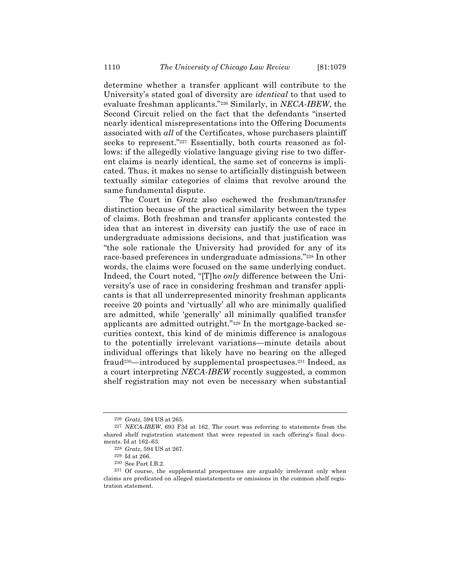determine whether a transfer applicant will contribute to the University's stated goal of diversity are *identical* to that used to evaluate freshman applicants."226 Similarly, in *NECA-IBEW*, the Second Circuit relied on the fact that the defendants "inserted nearly identical misrepresentations into the Offering Documents associated with *all* of the Certificates, whose purchasers plaintiff seeks to represent."<sup>227</sup> Essentially, both courts reasoned as follows: if the allegedly violative language giving rise to two different claims is nearly identical, the same set of concerns is implicated. Thus, it makes no sense to artificially distinguish between textually similar categories of claims that revolve around the same fundamental dispute.

The Court in *Gratz* also eschewed the freshman/transfer distinction because of the practical similarity between the types of claims. Both freshman and transfer applicants contested the idea that an interest in diversity can justify the use of race in undergraduate admissions decisions, and that justification was "the sole rationale the University had provided for any of its race-based preferences in undergraduate admissions."228 In other words, the claims were focused on the same underlying conduct. Indeed, the Court noted, "[T]he *only* difference between the University's use of race in considering freshman and transfer applicants is that all underrepresented minority freshman applicants receive 20 points and 'virtually' all who are minimally qualified are admitted, while 'generally' all minimally qualified transfer applicants are admitted outright."229 In the mortgage-backed securities context, this kind of de minimis difference is analogous to the potentially irrelevant variations—minute details about individual offerings that likely have no bearing on the alleged fraud<sup>230</sup>—introduced by supplemental prospectuses.<sup>231</sup> Indeed, as a court interpreting *NECA-IBEW* recently suggested, a common shelf registration may not even be necessary when substantial

<sup>226</sup> *Gratz*, 594 US at 265.

<sup>227</sup> *NECA-IBEW*, 693 F3d at 162. The court was referring to statements from the shared shelf registration statement that were repeated in each offering's final documents. Id at 162–63.

<sup>228</sup> *Gratz*, 594 US at 267.

<sup>229</sup> Id at 266.

<sup>230</sup> See Part I.B.2.

<sup>231</sup> Of course, the supplemental prospectuses are arguably irrelevant only when claims are predicated on alleged misstatements or omissions in the common shelf registration statement.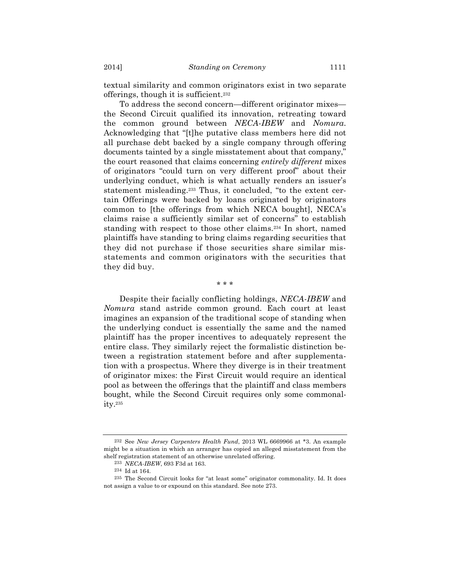textual similarity and common originators exist in two separate offerings, though it is sufficient.232

To address the second concern—different originator mixes the Second Circuit qualified its innovation, retreating toward the common ground between *NECA-IBEW* and *Nomura*. Acknowledging that "[t]he putative class members here did not all purchase debt backed by a single company through offering documents tainted by a single misstatement about that company," the court reasoned that claims concerning *entirely different* mixes of originators "could turn on very different proof" about their underlying conduct, which is what actually renders an issuer's statement misleading.233 Thus, it concluded, "to the extent certain Offerings were backed by loans originated by originators common to [the offerings from which NECA bought], NECA's claims raise a sufficiently similar set of concerns" to establish standing with respect to those other claims.234 In short, named plaintiffs have standing to bring claims regarding securities that they did not purchase if those securities share similar misstatements and common originators with the securities that they did buy.

\* \* \*

Despite their facially conflicting holdings, *NECA-IBEW* and *Nomura* stand astride common ground. Each court at least imagines an expansion of the traditional scope of standing when the underlying conduct is essentially the same and the named plaintiff has the proper incentives to adequately represent the entire class. They similarly reject the formalistic distinction between a registration statement before and after supplementation with a prospectus. Where they diverge is in their treatment of originator mixes: the First Circuit would require an identical pool as between the offerings that the plaintiff and class members bought, while the Second Circuit requires only some commonality.235

<sup>232</sup> See *New Jersey Carpenters Health Fund*, 2013 WL 6669966 at \*3. An example might be a situation in which an arranger has copied an alleged misstatement from the shelf registration statement of an otherwise unrelated offering.

<sup>233</sup> *NECA-IBEW*, 693 F3d at 163.

<sup>234</sup> Id at 164.

<sup>235</sup> The Second Circuit looks for "at least some" originator commonality. Id. It does not assign a value to or expound on this standard. See note 273.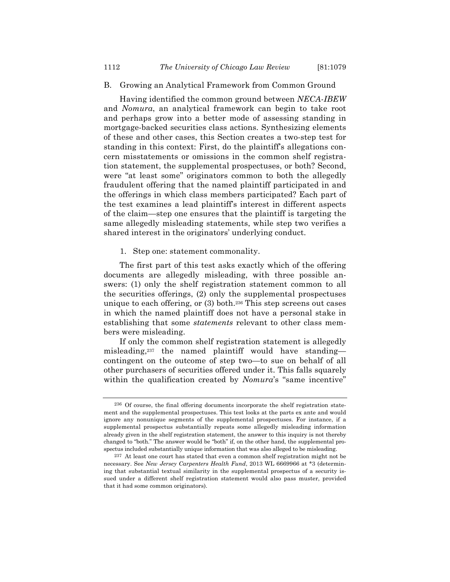# B. Growing an Analytical Framework from Common Ground

Having identified the common ground between *NECA-IBEW* and *Nomura*, an analytical framework can begin to take root and perhaps grow into a better mode of assessing standing in mortgage-backed securities class actions. Synthesizing elements of these and other cases, this Section creates a two-step test for standing in this context: First, do the plaintiff's allegations concern misstatements or omissions in the common shelf registration statement, the supplemental prospectuses, or both? Second, were "at least some" originators common to both the allegedly fraudulent offering that the named plaintiff participated in and the offerings in which class members participated? Each part of the test examines a lead plaintiff's interest in different aspects of the claim—step one ensures that the plaintiff is targeting the same allegedly misleading statements, while step two verifies a shared interest in the originators' underlying conduct.

# 1. Step one: statement commonality.

The first part of this test asks exactly which of the offering documents are allegedly misleading, with three possible answers: (1) only the shelf registration statement common to all the securities offerings, (2) only the supplemental prospectuses unique to each offering, or (3) both.236 This step screens out cases in which the named plaintiff does not have a personal stake in establishing that some *statements* relevant to other class members were misleading.

If only the common shelf registration statement is allegedly misleading,237 the named plaintiff would have standing contingent on the outcome of step two—to sue on behalf of all other purchasers of securities offered under it. This falls squarely within the qualification created by *Nomura*'s "same incentive"

<sup>236</sup> Of course, the final offering documents incorporate the shelf registration statement and the supplemental prospectuses. This test looks at the parts ex ante and would ignore any nonunique segments of the supplemental prospectuses. For instance, if a supplemental prospectus substantially repeats some allegedly misleading information already given in the shelf registration statement, the answer to this inquiry is not thereby changed to "both." The answer would be "both" if, on the other hand, the supplemental prospectus included substantially unique information that was also alleged to be misleading.

<sup>237</sup> At least one court has stated that even a common shelf registration might not be necessary. See *New Jersey Carpenters Health Fund*, 2013 WL 6669966 at \*3 (determining that substantial textual similarity in the supplemental prospectus of a security issued under a different shelf registration statement would also pass muster, provided that it had some common originators).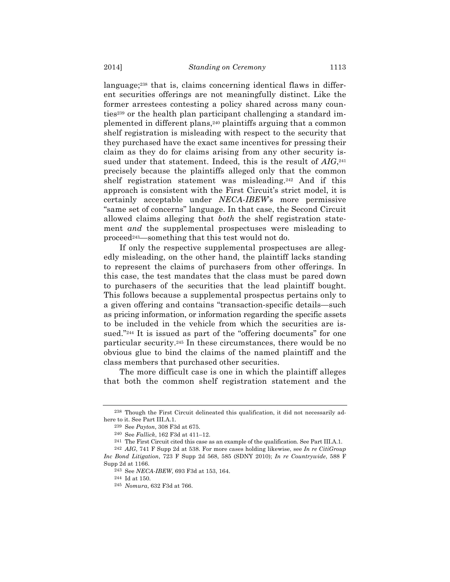language;<sup>238</sup> that is, claims concerning identical flaws in different securities offerings are not meaningfully distinct. Like the former arrestees contesting a policy shared across many counties239 or the health plan participant challenging a standard implemented in different plans,240 plaintiffs arguing that a common shelf registration is misleading with respect to the security that they purchased have the exact same incentives for pressing their claim as they do for claims arising from any other security issued under that statement. Indeed, this is the result of  $AIG<sub>241</sub>$ precisely because the plaintiffs alleged only that the common shelf registration statement was misleading.242 And if this approach is consistent with the First Circuit's strict model, it is certainly acceptable under *NECA-IBEW*'s more permissive "same set of concerns" language. In that case, the Second Circuit allowed claims alleging that *both* the shelf registration statement *and* the supplemental prospectuses were misleading to proceed243—something that this test would not do.

If only the respective supplemental prospectuses are allegedly misleading, on the other hand, the plaintiff lacks standing to represent the claims of purchasers from other offerings. In this case, the test mandates that the class must be pared down to purchasers of the securities that the lead plaintiff bought. This follows because a supplemental prospectus pertains only to a given offering and contains "transaction-specific details—such as pricing information, or information regarding the specific assets to be included in the vehicle from which the securities are issued."<sup>244</sup> It is issued as part of the "offering documents" for one particular security.245 In these circumstances, there would be no obvious glue to bind the claims of the named plaintiff and the class members that purchased other securities.

The more difficult case is one in which the plaintiff alleges that both the common shelf registration statement and the

<sup>238</sup> Though the First Circuit delineated this qualification, it did not necessarily adhere to it. See Part III.A.1.

<sup>239</sup> See *Payton*, 308 F3d at 675.

<sup>240</sup> See *Fallick*, 162 F3d at 411–12.

<sup>241</sup> The First Circuit cited this case as an example of the qualification. See Part III.A.1.

<sup>242</sup> *AIG*, 741 F Supp 2d at 538. For more cases holding likewise, see *In re CitiGroup Inc Bond Litigation*, 723 F Supp 2d 568, 585 (SDNY 2010); *In re Countrywide*, 588 F Supp 2d at 1166.

<sup>243</sup> See *NECA-IBEW*, 693 F3d at 153, 164.

<sup>244</sup> Id at 150.

<sup>245</sup> *Nomura*, 632 F3d at 766.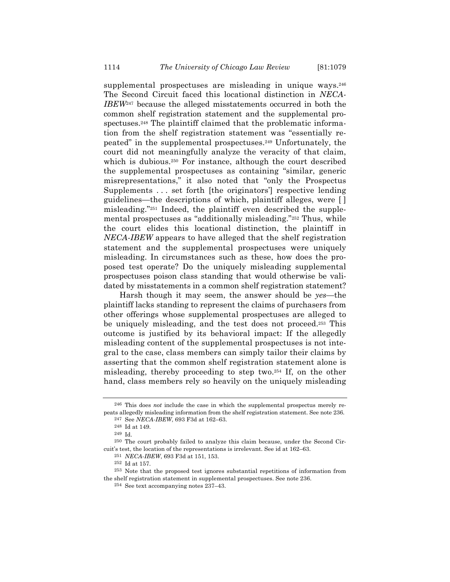supplemental prospectuses are misleading in unique ways.<sup>246</sup> The Second Circuit faced this locational distinction in *NECA-IBEW*<sup>247</sup> because the alleged misstatements occurred in both the common shelf registration statement and the supplemental prospectuses.248 The plaintiff claimed that the problematic information from the shelf registration statement was "essentially repeated" in the supplemental prospectuses.249 Unfortunately, the court did not meaningfully analyze the veracity of that claim, which is dubious.<sup>250</sup> For instance, although the court described the supplemental prospectuses as containing "similar, generic misrepresentations," it also noted that "only the Prospectus Supplements . . . set forth [the originators'] respective lending guidelines—the descriptions of which, plaintiff alleges, were [ ] misleading."251 Indeed, the plaintiff even described the supplemental prospectuses as "additionally misleading."252 Thus, while the court elides this locational distinction, the plaintiff in *NECA-IBEW* appears to have alleged that the shelf registration statement and the supplemental prospectuses were uniquely misleading. In circumstances such as these, how does the proposed test operate? Do the uniquely misleading supplemental prospectuses poison class standing that would otherwise be validated by misstatements in a common shelf registration statement?

Harsh though it may seem, the answer should be *yes*—the plaintiff lacks standing to represent the claims of purchasers from other offerings whose supplemental prospectuses are alleged to be uniquely misleading, and the test does not proceed.253 This outcome is justified by its behavioral impact: If the allegedly misleading content of the supplemental prospectuses is not integral to the case, class members can simply tailor their claims by asserting that the common shelf registration statement alone is misleading, thereby proceeding to step two.254 If, on the other hand, class members rely so heavily on the uniquely misleading

<sup>246</sup> This does *not* include the case in which the supplemental prospectus merely repeats allegedly misleading information from the shelf registration statement. See note 236.

<sup>247</sup> See *NECA-IBEW*, 693 F3d at 162–63.

<sup>248</sup> Id at 149.

<sup>249</sup> Id.

<sup>250</sup> The court probably failed to analyze this claim because, under the Second Circuit's test, the location of the representations is irrelevant. See id at 162–63.

<sup>251</sup> *NECA-IBEW*, 693 F3d at 151, 153.

<sup>252</sup> Id at 157.

<sup>253</sup> Note that the proposed test ignores substantial repetitions of information from the shelf registration statement in supplemental prospectuses. See note 236.

<sup>254</sup> See text accompanying notes 237–43.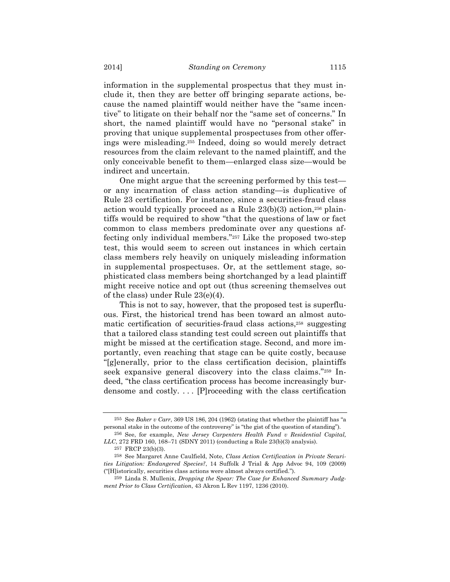information in the supplemental prospectus that they must include it, then they are better off bringing separate actions, because the named plaintiff would neither have the "same incentive" to litigate on their behalf nor the "same set of concerns." In short, the named plaintiff would have no "personal stake" in proving that unique supplemental prospectuses from other offerings were misleading.255 Indeed, doing so would merely detract resources from the claim relevant to the named plaintiff, and the only conceivable benefit to them—enlarged class size—would be indirect and uncertain.

One might argue that the screening performed by this test or any incarnation of class action standing—is duplicative of Rule 23 certification. For instance, since a securities-fraud class action would typically proceed as a Rule  $23(b)(3)$  action,<sup>256</sup> plaintiffs would be required to show "that the questions of law or fact common to class members predominate over any questions affecting only individual members."257 Like the proposed two-step test, this would seem to screen out instances in which certain class members rely heavily on uniquely misleading information in supplemental prospectuses. Or, at the settlement stage, sophisticated class members being shortchanged by a lead plaintiff might receive notice and opt out (thus screening themselves out of the class) under Rule 23(e)(4).

This is not to say, however, that the proposed test is superfluous. First, the historical trend has been toward an almost automatic certification of securities-fraud class actions,258 suggesting that a tailored class standing test could screen out plaintiffs that might be missed at the certification stage. Second, and more importantly, even reaching that stage can be quite costly, because "[g]enerally, prior to the class certification decision, plaintiffs seek expansive general discovery into the class claims."259 Indeed, "the class certification process has become increasingly burdensome and costly. . . . [P]roceeding with the class certification

<sup>255</sup> See *Baker v Carr*, 369 US 186, 204 (1962) (stating that whether the plaintiff has "a personal stake in the outcome of the controversy" is "the gist of the question of standing").

<sup>256</sup> See, for example, *New Jersey Carpenters Health Fund v Residential Capital, LLC*, 272 FRD 160, 168–71 (SDNY 2011) (conducting a Rule 23(b)(3) analysis).

<sup>257</sup> FRCP 23(b)(3).

<sup>258</sup> See Margaret Anne Caulfield, Note, *Class Action Certification in Private Securities Litigation: Endangered Species?*, 14 Suffolk J Trial & App Advoc 94, 109 (2009) ("[H]istorically, securities class actions were almost always certified.").

<sup>259</sup> Linda S. Mullenix, *Dropping the Spear: The Case for Enhanced Summary Judgment Prior to Class Certification*, 43 Akron L Rev 1197, 1236 (2010).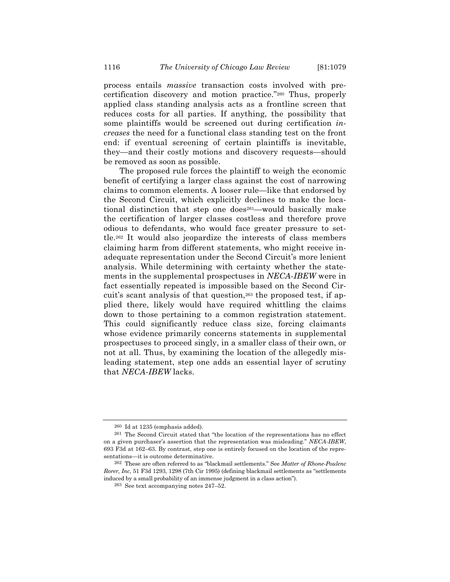process entails *massive* transaction costs involved with precertification discovery and motion practice."260 Thus, properly applied class standing analysis acts as a frontline screen that reduces costs for all parties. If anything, the possibility that some plaintiffs would be screened out during certification *increases* the need for a functional class standing test on the front end: if eventual screening of certain plaintiffs is inevitable, they—and their costly motions and discovery requests—should be removed as soon as possible.

The proposed rule forces the plaintiff to weigh the economic benefit of certifying a larger class against the cost of narrowing claims to common elements. A looser rule—like that endorsed by the Second Circuit, which explicitly declines to make the locational distinction that step one does<sup>261</sup>—would basically make the certification of larger classes costless and therefore prove odious to defendants, who would face greater pressure to settle.262 It would also jeopardize the interests of class members claiming harm from different statements, who might receive inadequate representation under the Second Circuit's more lenient analysis. While determining with certainty whether the statements in the supplemental prospectuses in *NECA-IBEW* were in fact essentially repeated is impossible based on the Second Circuit's scant analysis of that question,263 the proposed test, if applied there, likely would have required whittling the claims down to those pertaining to a common registration statement. This could significantly reduce class size, forcing claimants whose evidence primarily concerns statements in supplemental prospectuses to proceed singly, in a smaller class of their own, or not at all. Thus, by examining the location of the allegedly misleading statement, step one adds an essential layer of scrutiny that *NECA-IBEW* lacks.

<sup>260</sup> Id at 1235 (emphasis added).

<sup>261</sup> The Second Circuit stated that "the location of the representations has no effect on a given purchaser's assertion that the representation was misleading." *NECA-IBEW*, 693 F3d at 162–63. By contrast, step one is entirely focused on the location of the representations—it is outcome determinative.

<sup>262</sup> These are often referred to as "blackmail settlements." See *Matter of Rhone-Poulenc Rorer, Inc*, 51 F3d 1293, 1298 (7th Cir 1995) (defining blackmail settlements as "settlements induced by a small probability of an immense judgment in a class action").

<sup>263</sup> See text accompanying notes 247–52.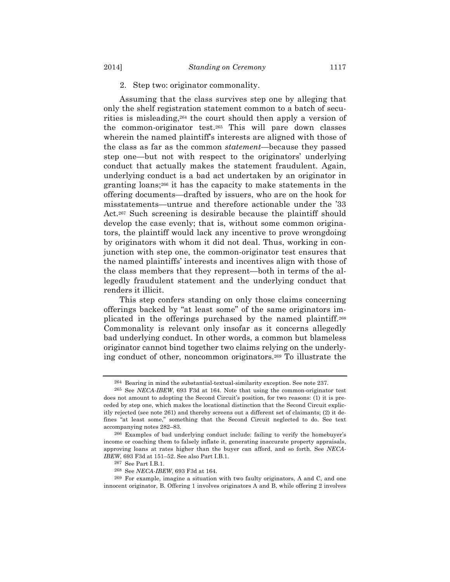# 2. Step two: originator commonality.

Assuming that the class survives step one by alleging that only the shelf registration statement common to a batch of securities is misleading,264 the court should then apply a version of the common-originator test.265 This will pare down classes wherein the named plaintiff's interests are aligned with those of the class as far as the common *statement*—because they passed step one—but not with respect to the originators' underlying conduct that actually makes the statement fraudulent. Again, underlying conduct is a bad act undertaken by an originator in granting loans;266 it has the capacity to make statements in the offering documents—drafted by issuers, who are on the hook for misstatements—untrue and therefore actionable under the '33 Act.267 Such screening is desirable because the plaintiff should develop the case evenly; that is, without some common originators, the plaintiff would lack any incentive to prove wrongdoing by originators with whom it did not deal. Thus, working in conjunction with step one, the common-originator test ensures that the named plaintiffs' interests and incentives align with those of the class members that they represent—both in terms of the allegedly fraudulent statement and the underlying conduct that renders it illicit.

This step confers standing on only those claims concerning offerings backed by "at least some" of the same originators implicated in the offerings purchased by the named plaintiff.268 Commonality is relevant only insofar as it concerns allegedly bad underlying conduct. In other words, a common but blameless originator cannot bind together two claims relying on the underlying conduct of other, noncommon originators.269 To illustrate the

<sup>264</sup> Bearing in mind the substantial-textual-similarity exception. See note 237.

<sup>265</sup> See *NECA-IBEW*, 693 F3d at 164. Note that using the common-originator test does not amount to adopting the Second Circuit's position, for two reasons: (1) it is preceded by step one, which makes the locational distinction that the Second Circuit explicitly rejected (see note 261) and thereby screens out a different set of claimants; (2) it defines "at least some," something that the Second Circuit neglected to do. See text accompanying notes 282–83.

<sup>266</sup> Examples of bad underlying conduct include: failing to verify the homebuyer's income or coaching them to falsely inflate it, generating inaccurate property appraisals, approving loans at rates higher than the buyer can afford, and so forth. See *NECA-IBEW*, 693 F3d at 151–52. See also Part I.B.1.

<sup>267</sup> See Part I.B.1.

<sup>268</sup> See *NECA-IBEW*, 693 F3d at 164.

<sup>269</sup> For example, imagine a situation with two faulty originators, A and C, and one innocent originator, B. Offering 1 involves originators A and B, while offering 2 involves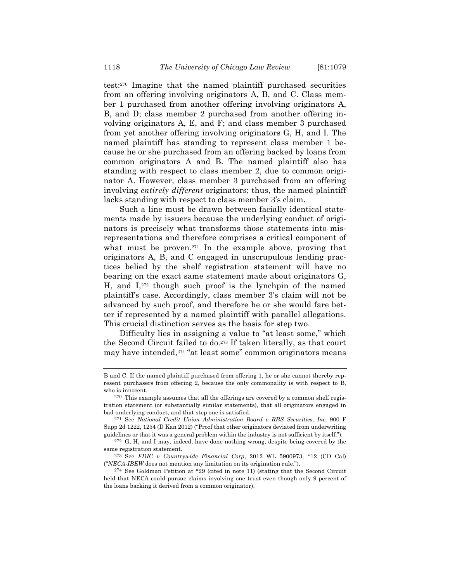test:270 Imagine that the named plaintiff purchased securities from an offering involving originators A, B, and C. Class member 1 purchased from another offering involving originators A, B, and D; class member 2 purchased from another offering involving originators A, E, and F; and class member 3 purchased from yet another offering involving originators G, H, and I. The named plaintiff has standing to represent class member 1 because he or she purchased from an offering backed by loans from common originators A and B. The named plaintiff also has standing with respect to class member 2, due to common originator A. However, class member 3 purchased from an offering involving *entirely different* originators; thus, the named plaintiff lacks standing with respect to class member 3's claim.

Such a line must be drawn between facially identical statements made by issuers because the underlying conduct of originators is precisely what transforms those statements into misrepresentations and therefore comprises a critical component of what must be proven.<sup>271</sup> In the example above, proving that originators A, B, and C engaged in unscrupulous lending practices belied by the shelf registration statement will have no bearing on the exact same statement made about originators G, H, and  $I<sub>z72</sub>$  though such proof is the lynchpin of the named plaintiff's case. Accordingly, class member 3's claim will not be advanced by such proof, and therefore he or she would fare better if represented by a named plaintiff with parallel allegations. This crucial distinction serves as the basis for step two.

Difficulty lies in assigning a value to "at least some," which the Second Circuit failed to do.273 If taken literally, as that court may have intended,274 "at least some" common originators means

B and C. If the named plaintiff purchased from offering 1, he or she cannot thereby represent purchasers from offering 2, because the only commonality is with respect to B, who is innocent.

<sup>270</sup> This example assumes that all the offerings are covered by a common shelf registration statement (or substantially similar statements), that all originators engaged in bad underlying conduct, and that step one is satisfied.

<sup>271</sup> See *National Credit Union Administration Board v RBS Securities, Inc*, 900 F Supp 2d 1222, 1254 (D Kan 2012) ("Proof that other originators deviated from underwriting guidelines or that it was a general problem within the industry is not sufficient by itself.").

<sup>272</sup> G, H, and I may, indeed, have done nothing wrong, despite being covered by the same registration statement.

<sup>273</sup> See *FDIC v Countrywide Financial Corp*, 2012 WL 5900973, \*12 (CD Cal) ("*NECA-IBEW* does not mention any limitation on its origination rule.").

<sup>274</sup> See Goldman Petition at \*29 (cited in note 11) (stating that the Second Circuit held that NECA could pursue claims involving one trust even though only 9 percent of the loans backing it derived from a common originator).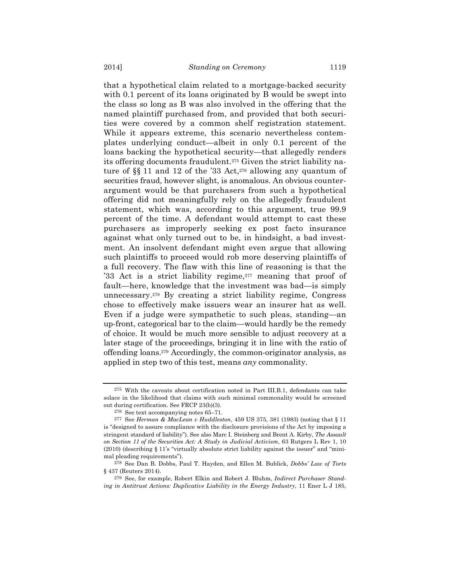that a hypothetical claim related to a mortgage-backed security with 0.1 percent of its loans originated by B would be swept into the class so long as B was also involved in the offering that the named plaintiff purchased from, and provided that both securities were covered by a common shelf registration statement. While it appears extreme, this scenario nevertheless contemplates underlying conduct—albeit in only 0.1 percent of the loans backing the hypothetical security—that allegedly renders its offering documents fraudulent.275 Given the strict liability nature of §§ 11 and 12 of the '33 Act,276 allowing any quantum of securities fraud, however slight, is anomalous. An obvious counterargument would be that purchasers from such a hypothetical offering did not meaningfully rely on the allegedly fraudulent statement, which was, according to this argument, true 99.9 percent of the time. A defendant would attempt to cast these purchasers as improperly seeking ex post facto insurance against what only turned out to be, in hindsight, a bad investment. An insolvent defendant might even argue that allowing such plaintiffs to proceed would rob more deserving plaintiffs of a full recovery. The flaw with this line of reasoning is that the '33 Act is a strict liability regime,<sup>277</sup> meaning that proof of fault—here, knowledge that the investment was bad—is simply unnecessary.278 By creating a strict liability regime, Congress chose to effectively make issuers wear an insurer hat as well. Even if a judge were sympathetic to such pleas, standing—an up-front, categorical bar to the claim—would hardly be the remedy of choice. It would be much more sensible to adjust recovery at a later stage of the proceedings, bringing it in line with the ratio of offending loans.279 Accordingly, the common-originator analysis, as applied in step two of this test, means *any* commonality.

<sup>275</sup> With the caveats about certification noted in Part III.B.1, defendants can take solace in the likelihood that claims with such minimal commonality would be screened out during certification. See FRCP 23(b)(3).

<sup>276</sup> See text accompanying notes 65–71.

<sup>277</sup> See *Herman & MacLean v Huddleston*, 459 US 375, 381 (1983) (noting that § 11 is "designed to assure compliance with the disclosure provisions of the Act by imposing a stringent standard of liability"). See also Marc I. Steinberg and Brent A. Kirby, *The Assault on Section 11 of the Securities Act: A Study in Judicial Activism*, 63 Rutgers L Rev 1, 10 (2010) (describing § 11's "virtually absolute strict liability against the issuer" and "minimal pleading requirements").

<sup>278</sup> See Dan B. Dobbs, Paul T. Hayden, and Ellen M. Bublick, *Dobbs' Law of Torts* § 437 (Reuters 2014).

<sup>279</sup> See, for example, Robert Elkin and Robert J. Bluhm, *Indirect Purchaser Standing in Antitrust Actions: Duplicative Liability in the Energy Industry*, 11 Ener L J 185,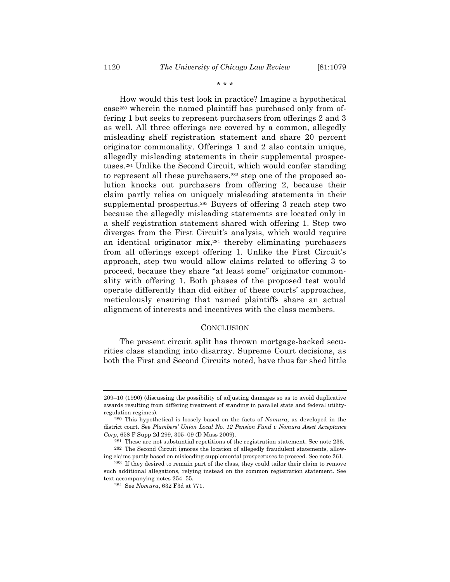\* \* \*

How would this test look in practice? Imagine a hypothetical case280 wherein the named plaintiff has purchased only from offering 1 but seeks to represent purchasers from offerings 2 and 3 as well. All three offerings are covered by a common, allegedly misleading shelf registration statement and share 20 percent originator commonality. Offerings 1 and 2 also contain unique, allegedly misleading statements in their supplemental prospectuses.281 Unlike the Second Circuit, which would confer standing to represent all these purchasers,282 step one of the proposed solution knocks out purchasers from offering 2, because their claim partly relies on uniquely misleading statements in their supplemental prospectus.283 Buyers of offering 3 reach step two because the allegedly misleading statements are located only in a shelf registration statement shared with offering 1. Step two diverges from the First Circuit's analysis, which would require an identical originator mix,284 thereby eliminating purchasers from all offerings except offering 1. Unlike the First Circuit's approach, step two would allow claims related to offering 3 to proceed, because they share "at least some" originator commonality with offering 1. Both phases of the proposed test would operate differently than did either of these courts' approaches, meticulously ensuring that named plaintiffs share an actual alignment of interests and incentives with the class members.

# **CONCLUSION**

The present circuit split has thrown mortgage-backed securities class standing into disarray. Supreme Court decisions, as both the First and Second Circuits noted, have thus far shed little

<sup>209–10 (1990) (</sup>discussing the possibility of adjusting damages so as to avoid duplicative awards resulting from differing treatment of standing in parallel state and federal utilityregulation regimes).

<sup>280</sup> This hypothetical is loosely based on the facts of *Nomura*, as developed in the district court. See *Plumbers' Union Local No. 12 Pension Fund v Nomura Asset Acceptance Corp*, 658 F Supp 2d 299, 305–09 (D Mass 2009).

<sup>281</sup> These are not substantial repetitions of the registration statement. See note 236.

<sup>282</sup> The Second Circuit ignores the location of allegedly fraudulent statements, allowing claims partly based on misleading supplemental prospectuses to proceed. See note 261.

<sup>283</sup> If they desired to remain part of the class, they could tailor their claim to remove such additional allegations, relying instead on the common registration statement. See text accompanying notes 254–55.

<sup>284</sup> See *Nomura*, 632 F3d at 771.